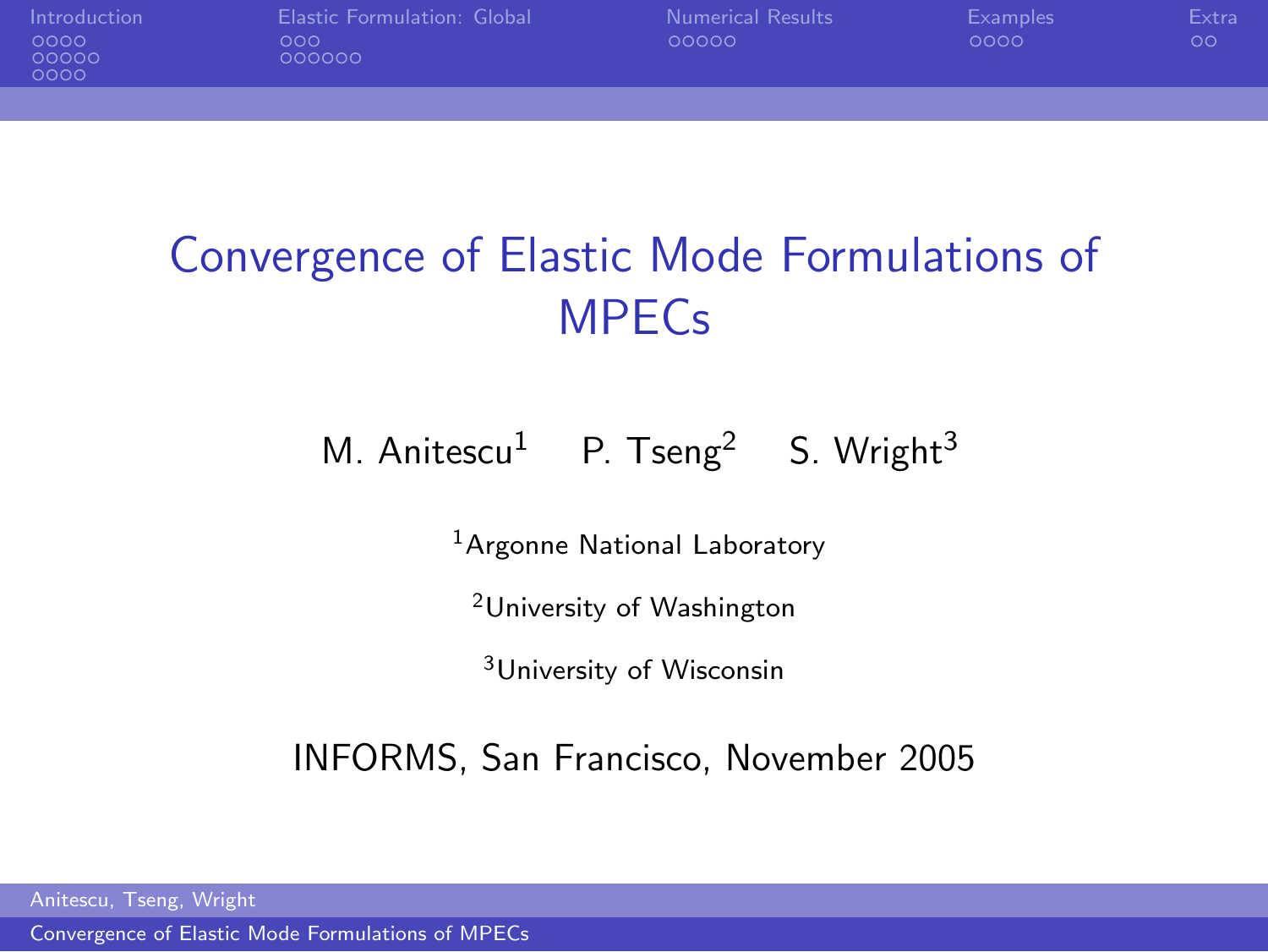

[Introduction](#page-1-0) [Elastic Formulation: Global](#page-14-0) [Numerical Results](#page-23-0) [Examples](#page-28-0) [Extra](#page-32-0) 000000

# Convergence of Elastic Mode Formulations of **MPEC<sub>s</sub>**

#### M. Anitescu<sup>1</sup> P. Tseng<sup>2</sup> S. Wright<sup>3</sup>

<sup>1</sup>Argonne National Laboratory

<sup>2</sup>University of Washington

<span id="page-0-0"></span><sup>3</sup>University of Wisconsin

INFORMS, San Francisco, November 2005

Anitescu, Tseng, Wright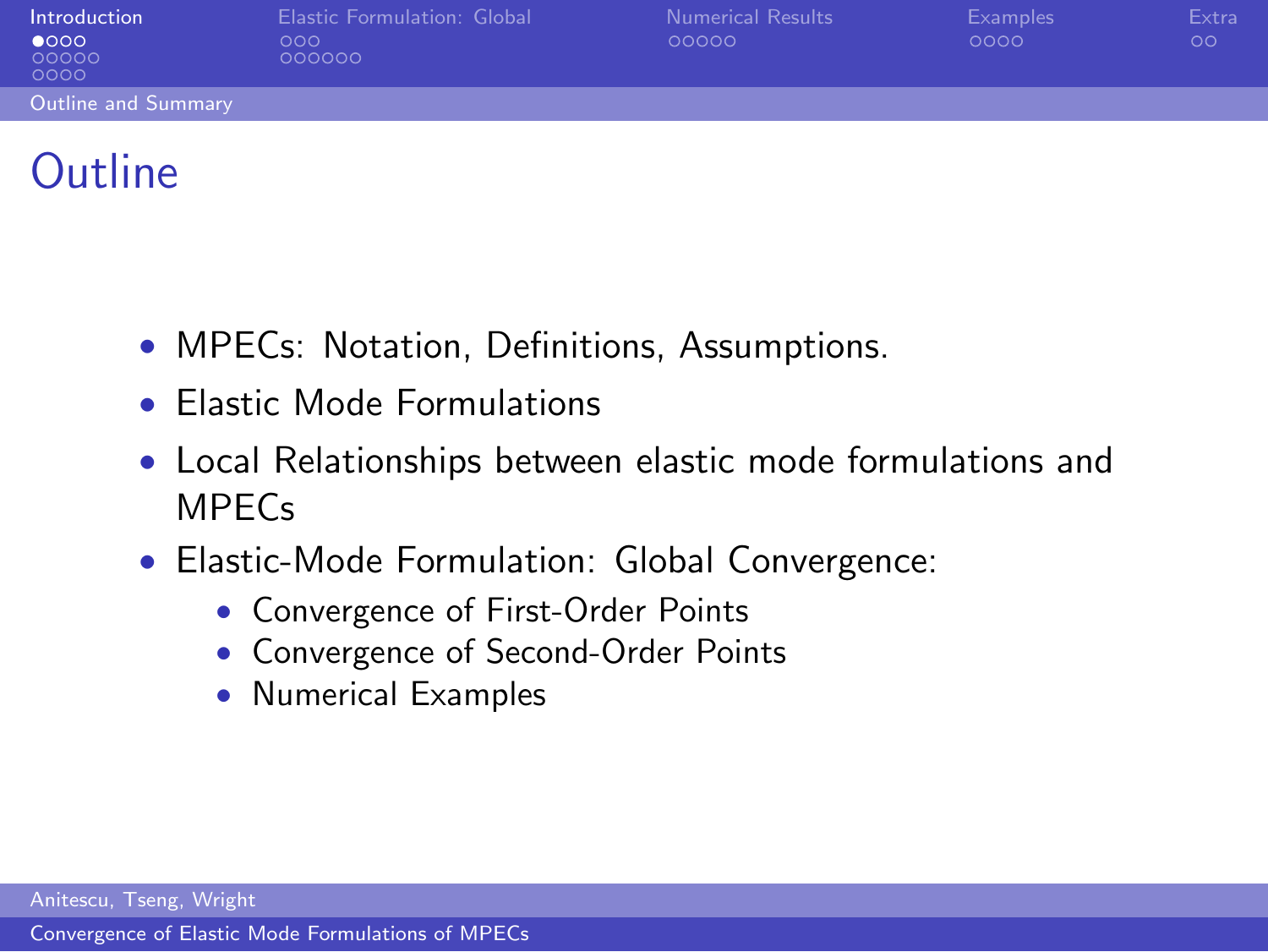| Introduction<br>$\bullet$ 000<br>00000<br>0000 | Elastic Formulation: Global<br>000<br>000000 | Numerical Results<br>00000 | <b>Examples</b><br>0000 | Extra<br>$\circ$ |
|------------------------------------------------|----------------------------------------------|----------------------------|-------------------------|------------------|
| Outline and Summary                            |                                              |                            |                         |                  |
|                                                |                                              |                            |                         |                  |

### **Outline**

- MPECs: Notation, Definitions, Assumptions.
- Elastic Mode Formulations
- Local Relationships between elastic mode formulations and MPECs
- <span id="page-1-0"></span>• Elastic-Mode Formulation: Global Convergence:
	- Convergence of First-Order Points
	- Convergence of Second-Order Points
	- Numerical Examples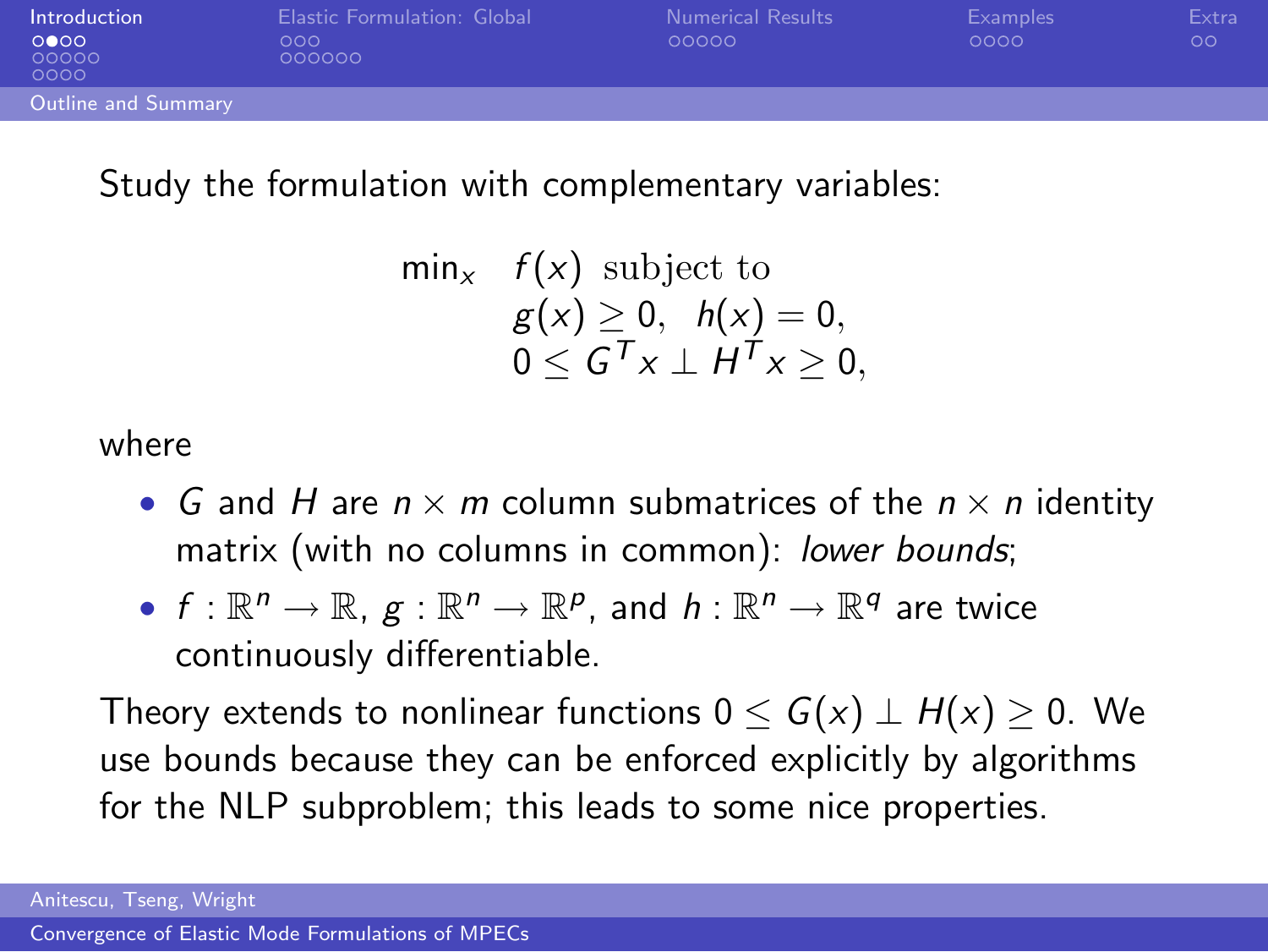| Introduction          | Elastic Formulation: Global | <b>Numerical Results</b> | Examples | Extra |
|-----------------------|-----------------------------|--------------------------|----------|-------|
| 0000<br>00000<br>0000 | 000<br>000000               | 00000                    | 0000     | OΟ    |
| Outline and Summary   |                             |                          |          |       |

#### Study the formulation with complementary variables:

$$
\begin{array}{ll}\n\min_x & f(x) \text{ subject to} \\
& g(x) \ge 0, \quad h(x) = 0, \\
& 0 \le G^T x \perp H^T x \ge 0,\n\end{array}
$$

where

- G and H are  $n \times m$  column submatrices of the  $n \times n$  identity matrix (with no columns in common): lower bounds;
- $f: \mathbb{R}^n \to \mathbb{R}, g: \mathbb{R}^n \to \mathbb{R}^p$ , and  $h: \mathbb{R}^n \to \mathbb{R}^q$  are twice continuously differentiable.

Theory extends to nonlinear functions  $0 \le G(x) \perp H(x) \ge 0$ . We use bounds because they can be enforced explicitly by algorithms for the NLP subproblem; this leads to some nice properties.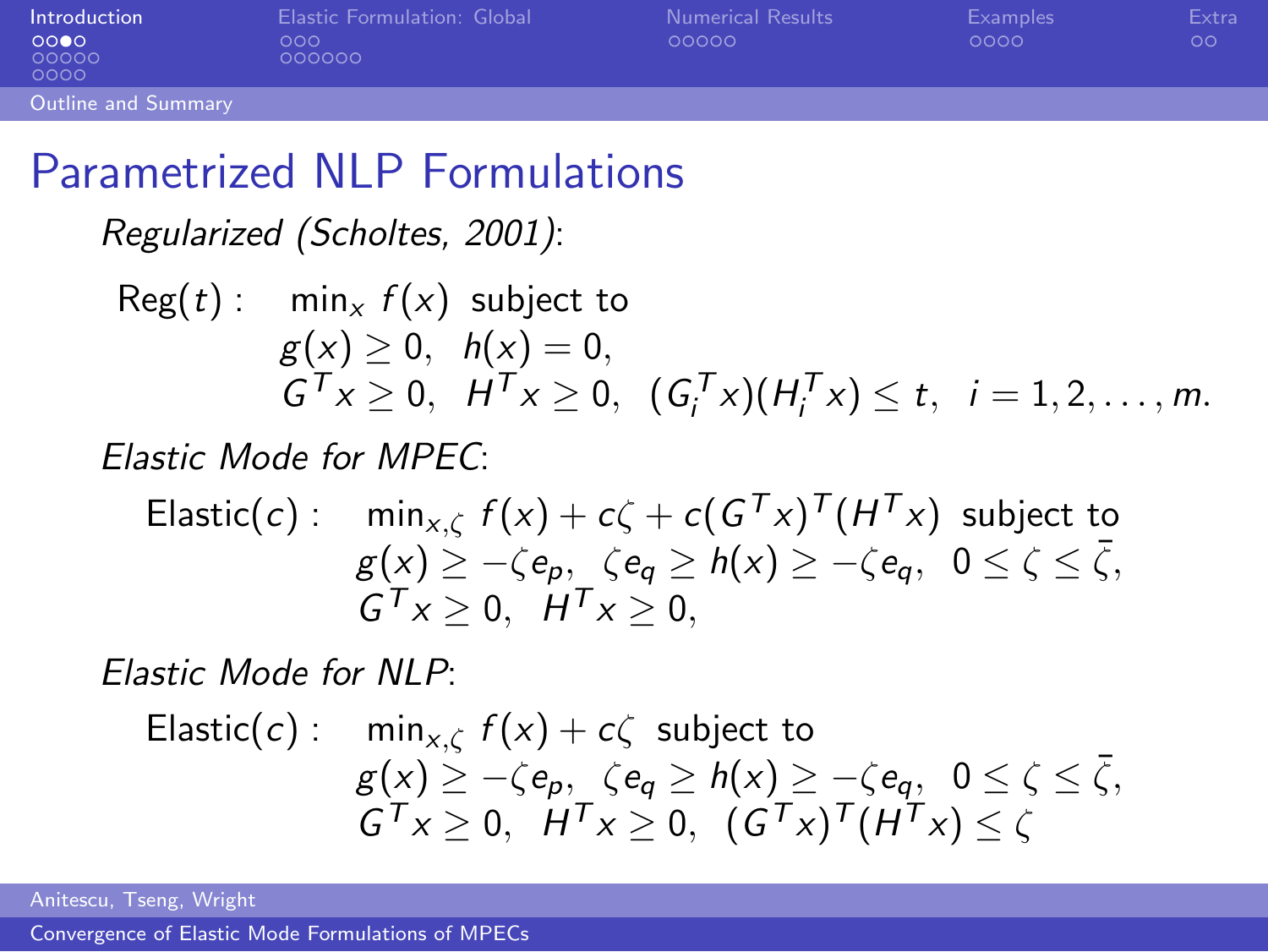| Introduction          | Elastic Formulation: Global | <b>Numerical Results</b> | Examples | Extra |
|-----------------------|-----------------------------|--------------------------|----------|-------|
| 0000<br>00000<br>0000 | ೧೧೧<br>000000               | 00000                    | 0000     | oο    |
| Outline and Summary   |                             |                          |          |       |
|                       |                             |                          |          |       |

#### Parametrized NLP Formulations

Regularized (Scholtes, 2001):

Reg(t): 
$$
\min_x f(x)
$$
 subject to  $g(x) \geq 0$ ,  $h(x) = 0$ ,  $G^T x \geq 0$ ,  $H^T x \geq 0$ ,  $(G_i^T x)(H_i^T x) \leq t$ ,  $i = 1, 2, \ldots, m$ .

Elastic Mode for MPEC:

Elastic(c): 
$$
\min_{x,\zeta} f(x) + c\zeta + c(G^{\mathsf{T}}x)^{\mathsf{T}}(H^{\mathsf{T}}x) \text{ subject to}
$$

$$
g(x) \ge -\zeta e_p, \quad \zeta e_q \ge h(x) \ge -\zeta e_q, \quad 0 \le \zeta \le \overline{\zeta},
$$

$$
G^{\mathsf{T}}x \ge 0, \quad H^{\mathsf{T}}x \ge 0,
$$

Elastic Mode for NLP:

Elastic(c):

\n
$$
\min_{x,\zeta} f(x) + c\zeta \text{ subject to}
$$
\n
$$
g(x) \ge -\zeta e_p, \quad \zeta e_q \ge h(x) \ge -\zeta e_q, \quad 0 \le \zeta \le \overline{\zeta},
$$
\n
$$
G^T x \ge 0, \quad H^T x \ge 0, \quad (G^T x)^T (H^T x) \le \zeta
$$

Anitescu, Tseng, Wright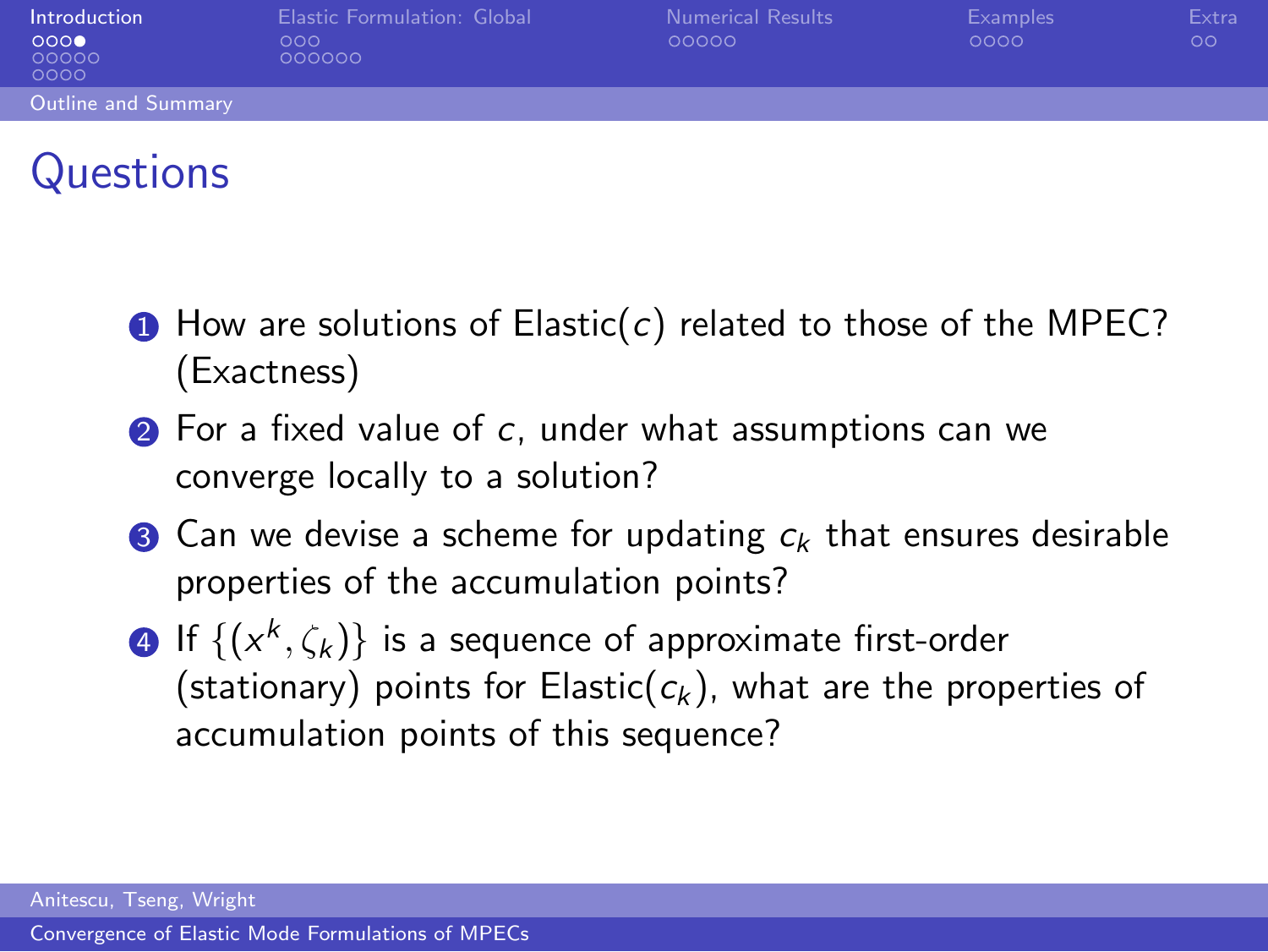| Introduction<br>000<br>00000<br>0000 | Elastic Formulation: Global<br>000<br>000000 | <b>Numerical Results</b><br>00000 | <b>Examples</b><br>0000 | Extra<br>OΟ |
|--------------------------------------|----------------------------------------------|-----------------------------------|-------------------------|-------------|
| Outline and Summary                  |                                              |                                   |                         |             |
|                                      |                                              |                                   |                         |             |

### **Questions**

- $\bullet$  How are solutions of Elastic(c) related to those of the MPEC? (Exactness)
- 2 For a fixed value of c, under what assumptions can we converge locally to a solution?
- **3** Can we devise a scheme for updating  $c_k$  that ensures desirable properties of the accumulation points?
- $\textbf{4}$  If  $\{(\mathsf{x}^k, \zeta_k)\}$  is a sequence of approximate first-order (stationary) points for Elastic( $c_k$ ), what are the properties of accumulation points of this sequence?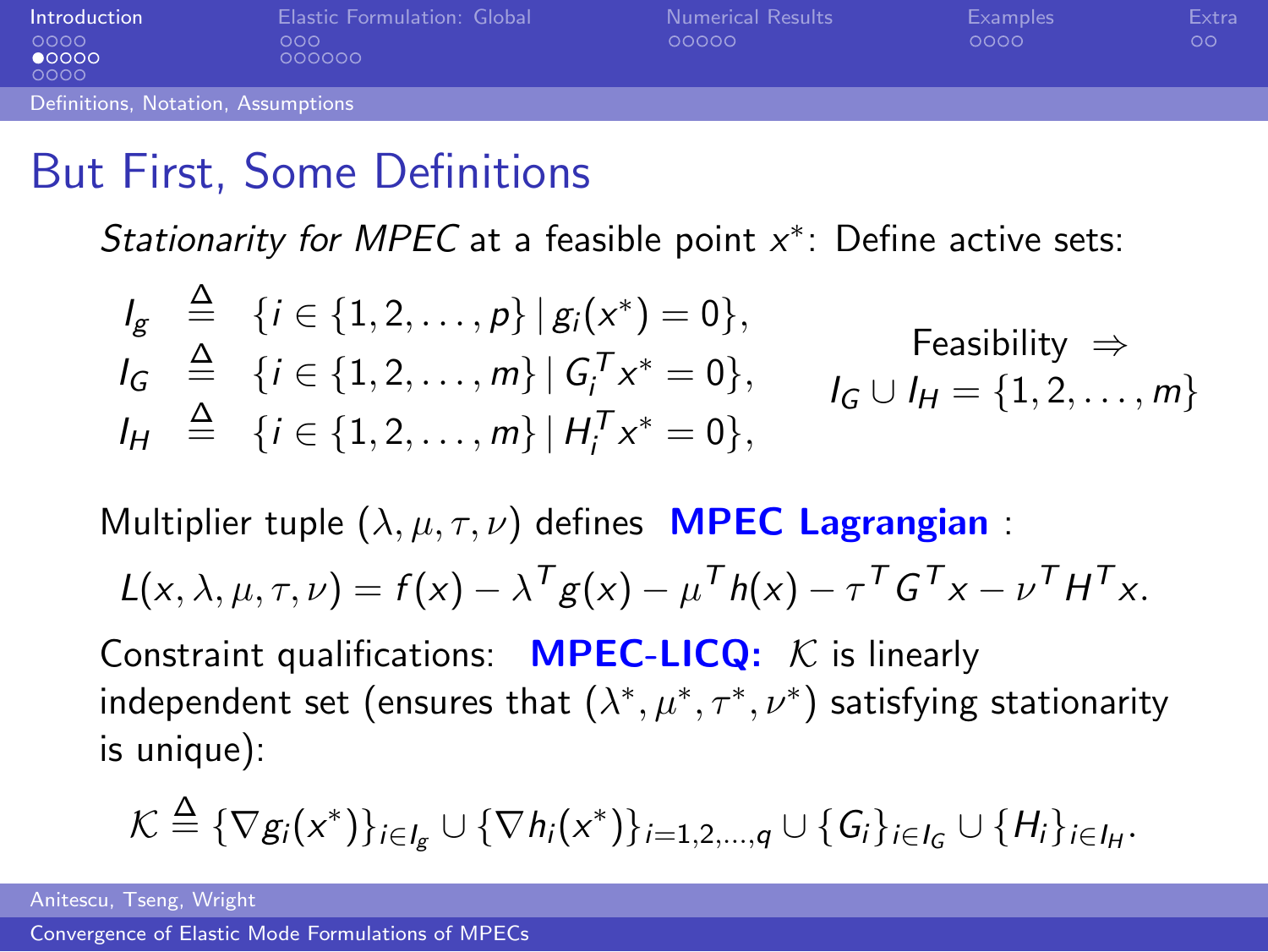| Introduction                       | Elastic Formulation: Global | <b>Numerical Results</b> | Examples | Extra |
|------------------------------------|-----------------------------|--------------------------|----------|-------|
| 0000<br>$\bullet$ 0000<br>0000     | 000<br>000000               | 00000                    | 0000     | ОO    |
| Definitions. Notation. Assumptions |                             |                          |          |       |

## But First, Some Definitions

Stationarity for MPEC at a feasible point  $x^*$ : Define active sets:

$$
I_g \stackrel{\Delta}{=} \{i \in \{1, 2, ..., p\} \mid g_i(x^*) = 0\},
$$
  
\n
$$
I_G \stackrel{\Delta}{=} \{i \in \{1, 2, ..., m\} \mid G_i^T x^* = 0\},
$$
  
\n
$$
I_H \stackrel{\Delta}{=} \{i \in \{1, 2, ..., m\} \mid H_i^T x^* = 0\},
$$
  
\n
$$
I_G \cup I_H = \{1, 2, ..., m\}
$$

Multiplier tuple  $(\lambda, \mu, \tau, \nu)$  defines **MPEC Lagrangian** :

$$
L(x, \lambda, \mu, \tau, \nu) = f(x) - \lambda^T g(x) - \mu^T h(x) - \tau^T G^T x - \nu^T H^T x.
$$

Constraint qualifications: **MPEC-LICQ:**  $K$  is linearly independent set (ensures that  $(\lambda^*,\mu^*,\tau^*,\nu^*)$  satisfying stationarity is unique):

$$
\mathcal{K} \stackrel{\Delta}{=} \{ \nabla g_i(x^*) \}_{i \in I_g} \cup \{ \nabla h_i(x^*) \}_{i=1,2,\dots,q} \cup \{ G_i \}_{i \in I_G} \cup \{ H_i \}_{i \in I_H}.
$$

Anitescu, Tseng, Wright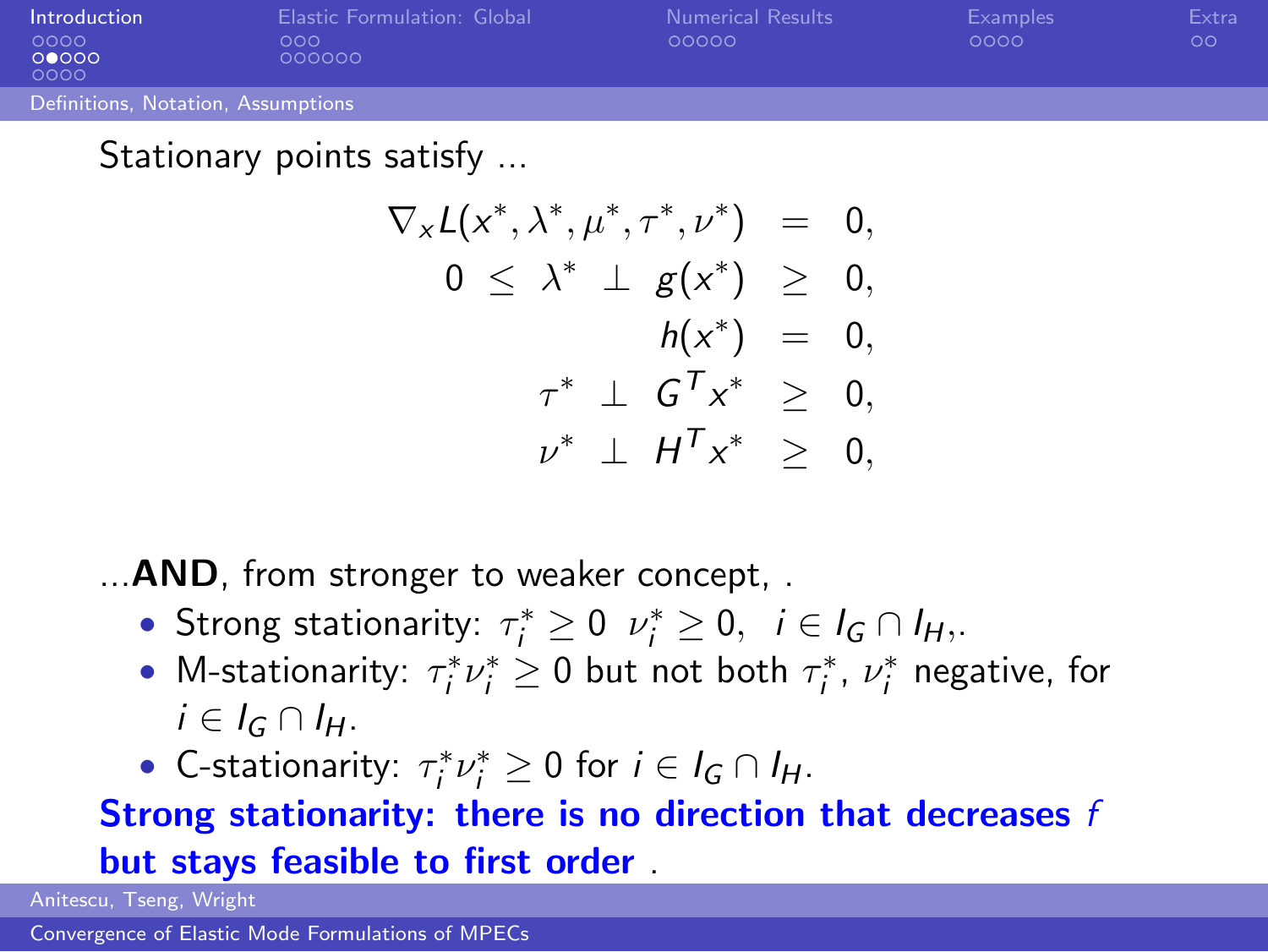| Introduction                       | Elastic Formulation: Global | <b>Numerical Results</b> | Examples | Extra |
|------------------------------------|-----------------------------|--------------------------|----------|-------|
| 0000<br>00000<br>0000              | ೧೧೧<br>000000               | 00000                    | 0000     | OΟ    |
| Definitions, Notation, Assumptions |                             |                          |          |       |

Stationary points satisfy ...

$$
\nabla_x L(x^*, \lambda^*, \mu^*, \tau^*, \nu^*) = 0,
$$
  
\n
$$
0 \leq \lambda^* \perp g(x^*) \geq 0,
$$
  
\n
$$
h(x^*) = 0,
$$
  
\n
$$
\tau^* \perp G^T x^* \geq 0,
$$
  
\n
$$
\nu^* \perp H^T x^* \geq 0,
$$

... **AND**, from stronger to weaker concept, .

- Strong stationarity:  $\tau_i^* \geq 0$   $\nu_i^* \geq 0$ ,  $i \in I_G \cap I_H$ ,.
- M-stationarity:  $\tau_i^* \nu_i^* \geq 0$  but not both  $\tau_i^*$ ,  $\nu_i^*$  negative, for  $i \in I_G \cap I_H$ .
- C-stationarity:  $\tau_i^* \nu_i^* \geq 0$  for  $i \in I_G \cap I_H$ .

#### Strong stationarity: there is no direction that decreases f but stays feasible to first order .

Anitescu, Tseng, Wright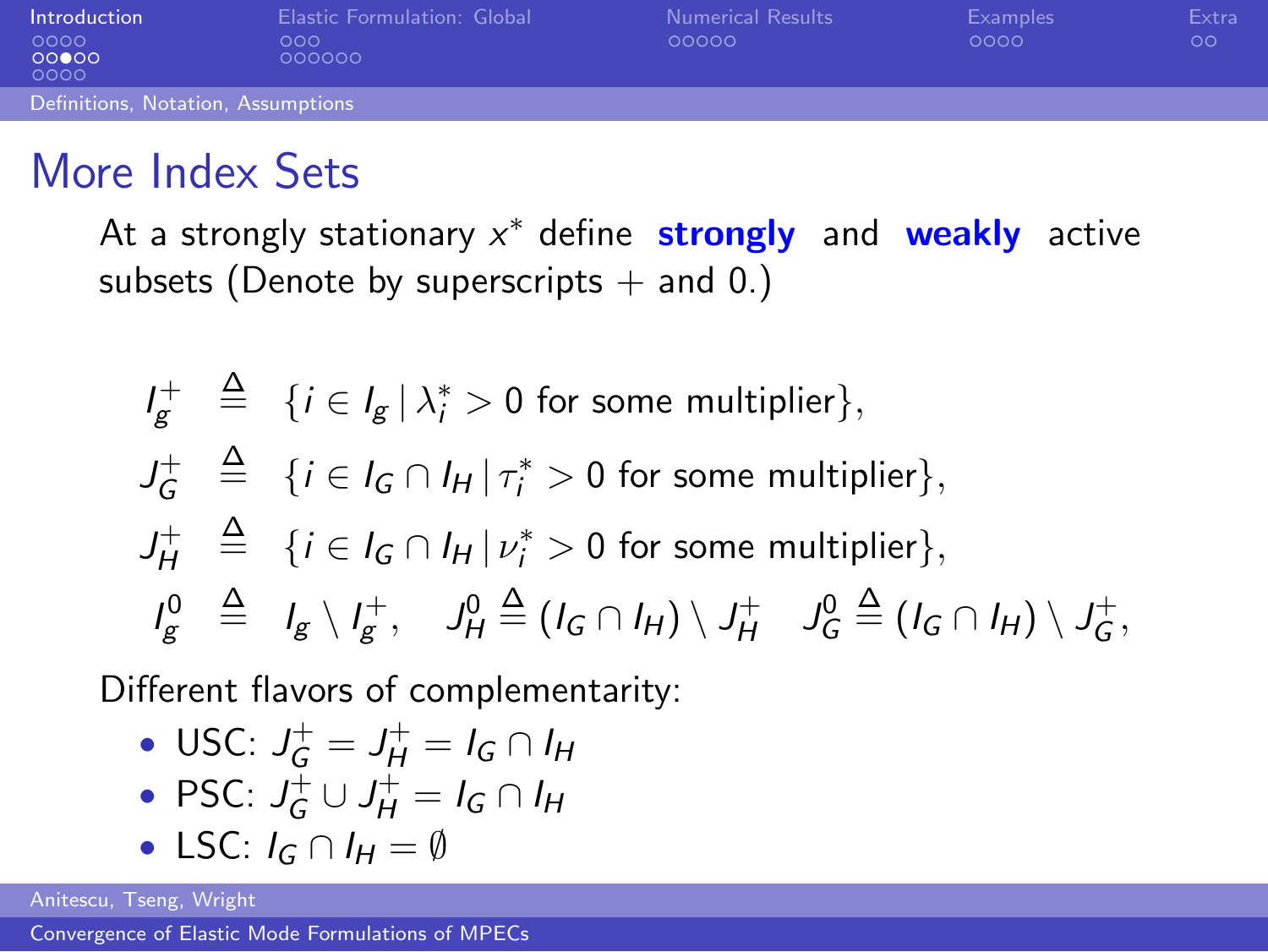| Introduction                       | Elastic Formulation: Global | <b>Numerical Results</b> | Examples | Extra |
|------------------------------------|-----------------------------|--------------------------|----------|-------|
| 0000<br>00000<br>0000              | 000<br>000000               | 00000                    | 0000     | ОO    |
| Definitions, Notation, Assumptions |                             |                          |          |       |

### More Index Sets

At a strongly stationary x<sup>\*</sup> define strongly and weakly active subsets (Denote by superscripts  $+$  and 0.)

$$
I_g^+ \triangleq \{ i \in I_g \mid \lambda_i^* > 0 \text{ for some multiplier} \},
$$
  
\n
$$
J_G^+ \triangleq \{ i \in I_G \cap I_H \mid \tau_i^* > 0 \text{ for some multiplier} \},
$$
  
\n
$$
J_H^+ \triangleq \{ i \in I_G \cap I_H \mid \nu_i^* > 0 \text{ for some multiplier} \},
$$
  
\n
$$
I_g^0 \triangleq I_g \setminus I_g^+, \quad J_H^0 \triangleq (I_G \cap I_H) \setminus J_H^+, \quad J_G^0 \triangleq (I_G \cap I_H) \setminus J_G^+,
$$

Different flavors of complementarity:

• USC: 
$$
J_G^+ = J_H^+ = I_G \cap I_H
$$

• PSC: 
$$
J_G^+ \cup J_H^+ = I_G \cap I_H
$$

• LSC:  $I_G \cap I_H = \emptyset$ 

Anitescu, Tseng, Wright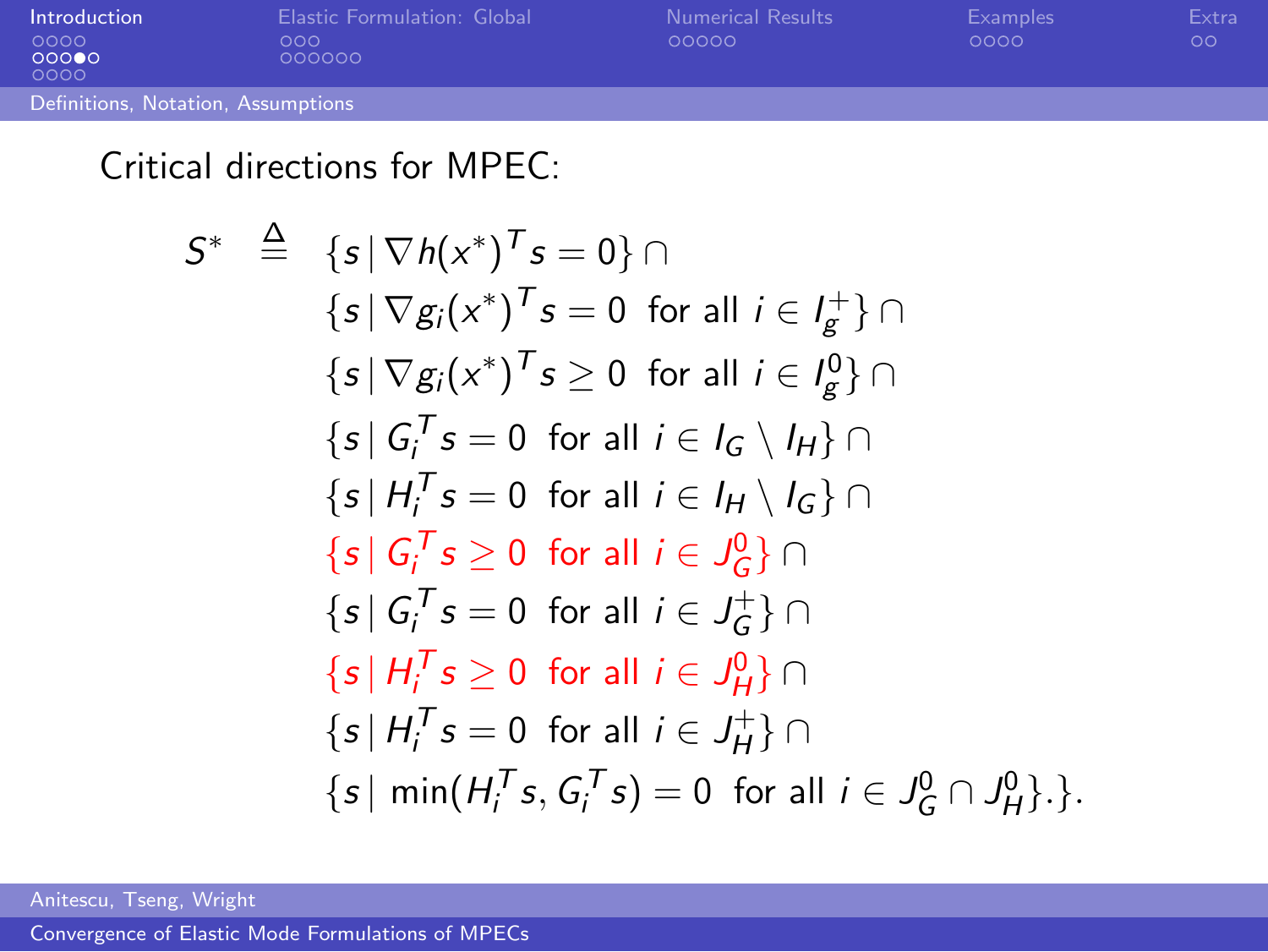| Introduction                       | Elastic Formulation: Global | <b>Numerical Results</b> | Examples | Extra |
|------------------------------------|-----------------------------|--------------------------|----------|-------|
| - 0000<br>00000<br>0000            | ೧೧೧<br>000000               | 00000                    | 0000     | OΟ    |
| Definitions, Notation, Assumptions |                             |                          |          |       |

#### Critical directions for MPEC:

$$
S^* \triangleq \{s \mid \nabla h(x^*)^T s = 0\} \cap
$$
  
\n
$$
\{s \mid \nabla g_i(x^*)^T s = 0 \text{ for all } i \in I_g^+\} \cap
$$
  
\n
$$
\{s \mid \nabla g_i(x^*)^T s \ge 0 \text{ for all } i \in I_g^0\} \cap
$$
  
\n
$$
\{s \mid G_i^T s = 0 \text{ for all } i \in I_G \setminus I_H\} \cap
$$
  
\n
$$
\{s \mid H_i^T s = 0 \text{ for all } i \in I_H \setminus I_G\} \cap
$$
  
\n
$$
\{s \mid G_i^T s \ge 0 \text{ for all } i \in J_g^0\} \cap
$$
  
\n
$$
\{s \mid H_i^T s \ge 0 \text{ for all } i \in J_H^+\} \cap
$$
  
\n
$$
\{s \mid H_i^T s = 0 \text{ for all } i \in J_H^0\} \cap
$$
  
\n
$$
\{s \mid H_i^T s = 0 \text{ for all } i \in J_H^+\} \cap
$$
  
\n
$$
\{s \mid \min(H_i^T s, G_i^T s) = 0 \text{ for all } i \in J_G^0 \cap J_H^0\}.
$$

Anitescu, Tseng, Wright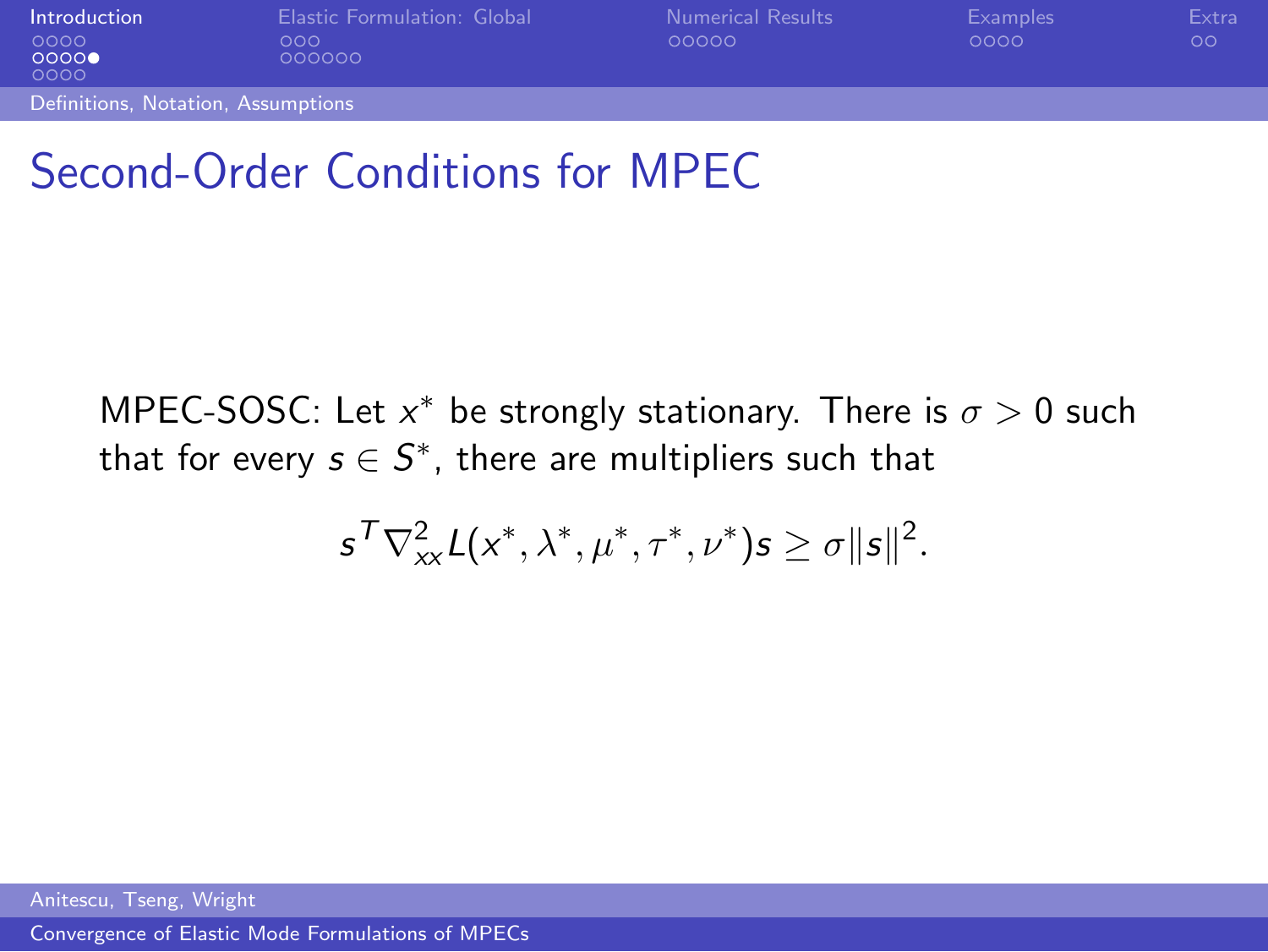| Introduction                       | Elastic Formulation: Global | <b>Numerical Results</b> | Examples | Extra   |
|------------------------------------|-----------------------------|--------------------------|----------|---------|
| 0000                               | 000                         | 00000                    | 0000     | $\circ$ |
| 0000<br>0000                       | 000000                      |                          |          |         |
| Definitions, Notation, Assumptions |                             |                          |          |         |
|                                    |                             |                          |          |         |

## Second-Order Conditions for MPEC

MPEC-SOSC: Let  $x^*$  be strongly stationary. There is  $\sigma > 0$  such that for every  $s \in \mathcal{S}^*$ , there are multipliers such that

$$
s^{\mathsf{T}}\nabla_{xx}^2 \mathsf{L}(x^*,\lambda^*,\mu^*,\tau^*,\nu^*)s \geq \sigma ||s||^2.
$$

Anitescu, Tseng, Wright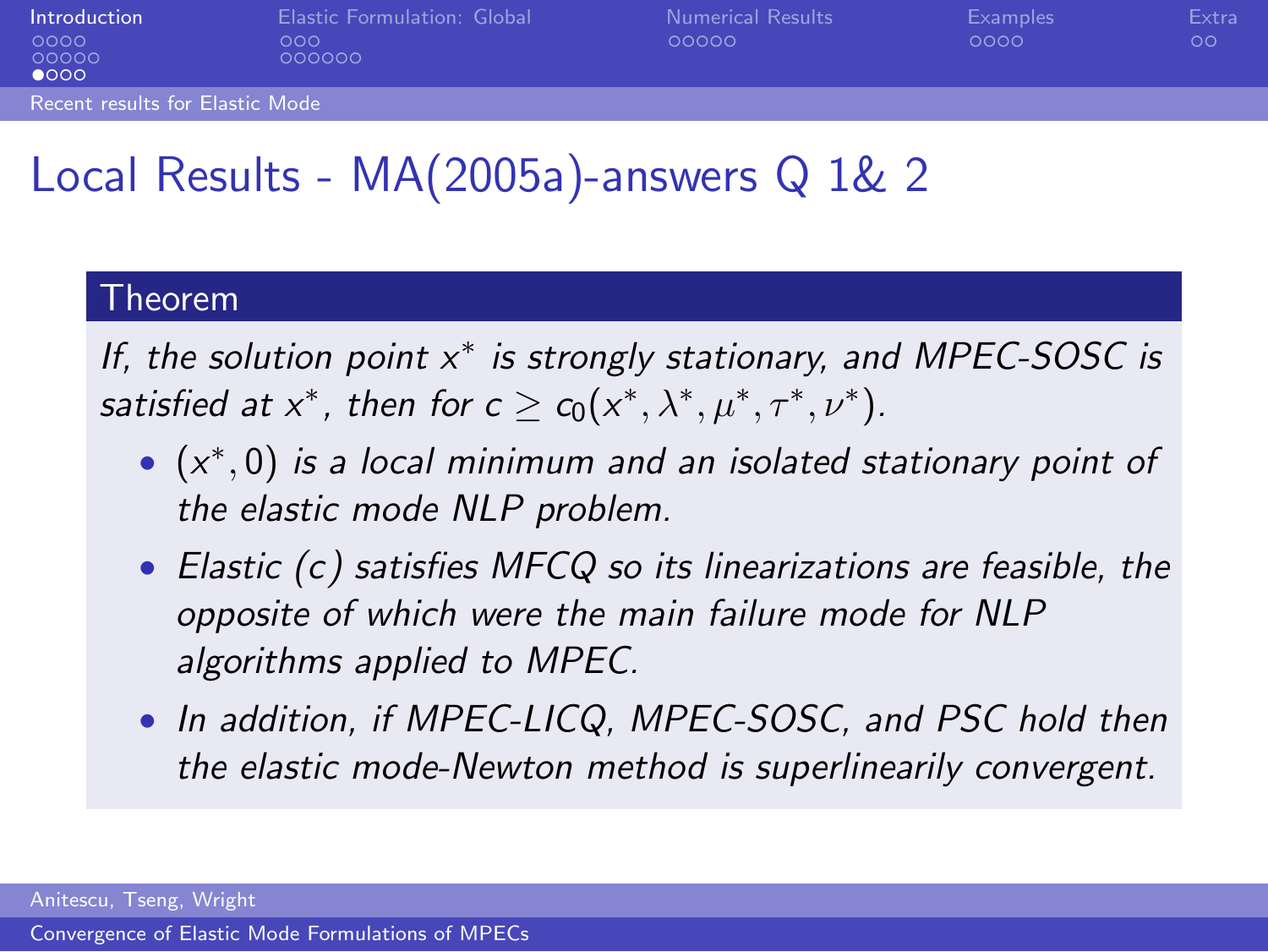| Introduction                           | Elastic Formulation: Global | <b>Numerical Results</b> | Examples | Extra   |
|----------------------------------------|-----------------------------|--------------------------|----------|---------|
| 0000<br>00000<br>$\bullet$ 000         | ೧೧೧<br>000000               | 00000                    | 0000     | $\circ$ |
| <b>Recent results for Elastic Mode</b> |                             |                          |          |         |

# Local Results - MA(2005a)-answers Q 1& 2

#### Theorem

If, the solution point x<sup>\*</sup> is strongly stationary, and MPEC-SOSC is satisfied at  $x^*$ , then for  $c \ge c_0(x^*, \lambda^*, \mu^*, \tau^*, \nu^*)$ .

- $\bullet$   $(x^*,0)$  is a local minimum and an isolated stationary point of the elastic mode NLP problem.
- Elastic (c) satisfies MFCQ so its linearizations are feasible, the opposite of which were the main failure mode for NLP algorithms applied to MPEC.
- In addition, if MPEC-LICQ, MPEC-SOSC, and PSC hold then the elastic mode-Newton method is superlinearily convergent.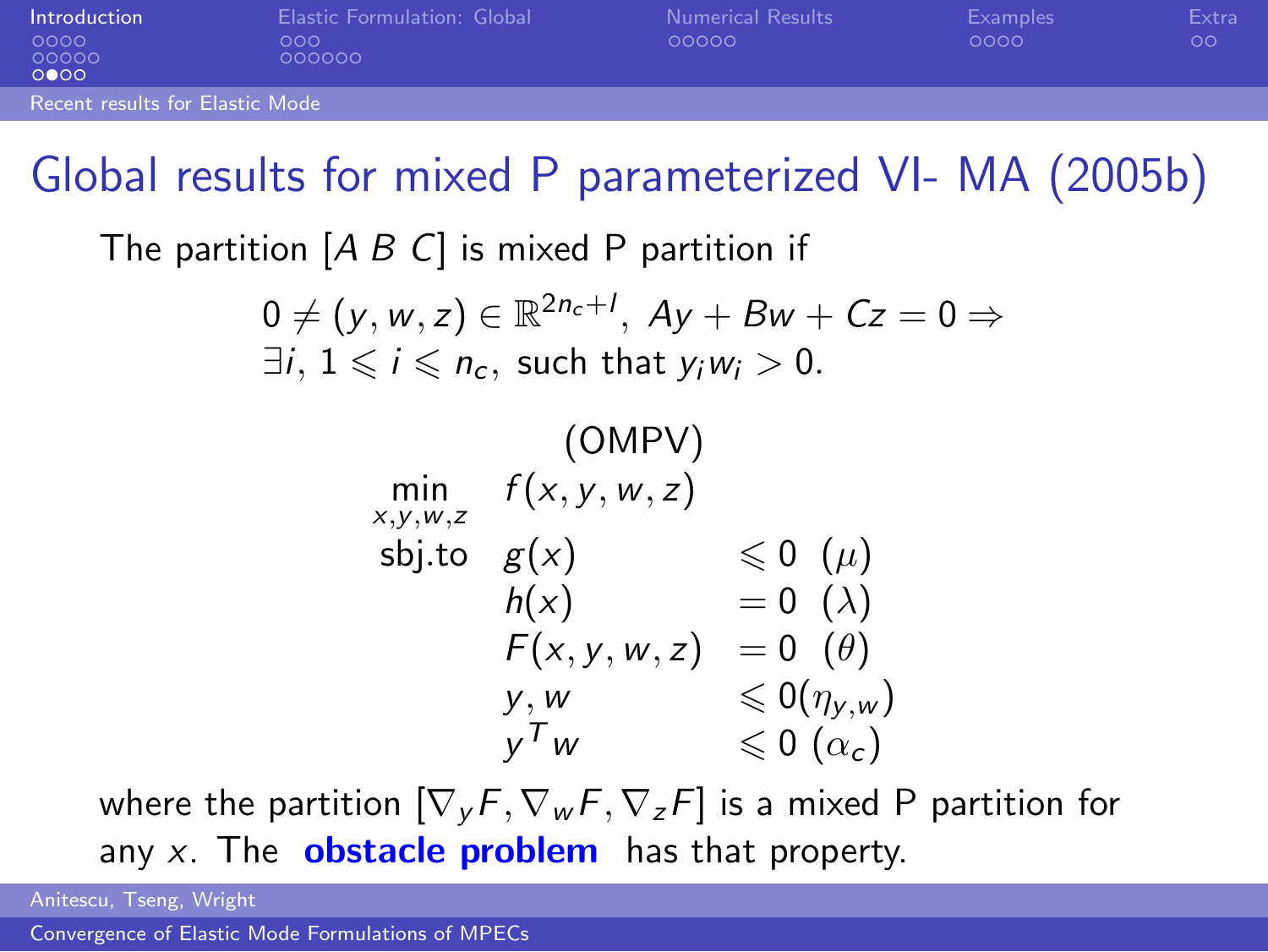| Introduction                    | Elastic Formulation: Global | <b>Numerical Results</b> | Examples | Extra |
|---------------------------------|-----------------------------|--------------------------|----------|-------|
| 0000<br>00000<br>0000           | ೧೧೧<br>000000               | 00000                    | 0000     | oo    |
| Recent results for Elastic Mode |                             |                          |          |       |

### Global results for mixed P parameterized VI- MA (2005b)

The partition  $[A \ B \ C]$  is mixed P partition if

$$
0 \neq (y, w, z) \in \mathbb{R}^{2n_c+1}, \ Ay + Bw + Cz = 0 \Rightarrow
$$
  
\exists *i*, 1 \leq i \leq n\_c, such that  $y_iw_i > 0$ .

(OMPV)  
\n
$$
\min_{x,y,w,z} f(x,y,w,z)
$$
\n
$$
\text{sbj.to} \quad g(x) \quad \leq 0 \quad (\mu)
$$
\n
$$
h(x) = 0 \quad (\lambda)
$$
\n
$$
F(x,y,w,z) = 0 \quad (\theta)
$$
\n
$$
y, w \quad \leq 0 (\eta_{y,w})
$$
\n
$$
y^T w \quad \leq 0 \quad (\alpha_c)
$$

where the partition  $[\nabla_v F, \nabla_w F, \nabla_z F]$  is a mixed P partition for any  $x$ . The **obstacle problem** has that property.

Anitescu, Tseng, Wright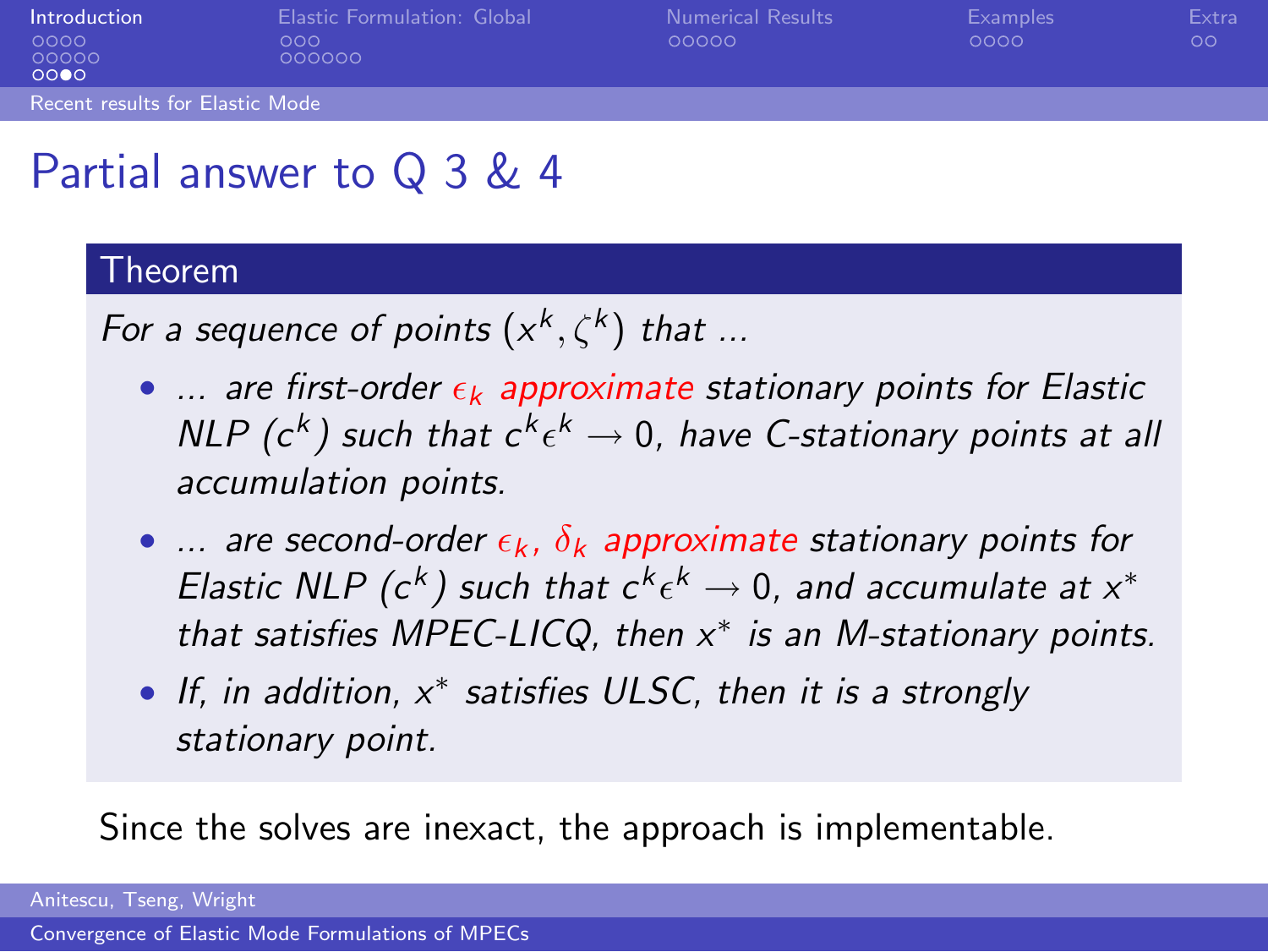| Introduction<br>0000<br>00000<br>0000 | <b>Elastic Formulation: Global</b><br>000<br>000000 | Numerical Results<br>00000 | <b>Examples</b><br>0000 | Extra<br>$\circ$ |
|---------------------------------------|-----------------------------------------------------|----------------------------|-------------------------|------------------|
| Recent results for Elastic Mode       |                                                     |                            |                         |                  |
| ___                                   |                                                     |                            |                         |                  |

## Partial answer to Q 3 & 4

#### Theorem

For a sequence of points  $(x^k, \zeta^k)$  that ...

- $\ldots$  are first-order  $\epsilon_k$  approximate stationary points for Elastic NLP ( $c^{k}$ ) such that  $c^{k} \epsilon^{k} \rightarrow 0$ , have C-stationary points at all accumulation points.
- ... are second-order  $\epsilon_k$ ,  $\delta_k$  approximate stationary points for Elastic NLP (c<sup>k</sup>) such that  $c^k \epsilon^k \to 0$ , and accumulate at  $x^*$ that satisfies MPEC-LICQ, then  $x^*$  is an M-stationary points.
- If, in addition, x<sup>\*</sup> satisfies ULSC, then it is a strongly stationary point.

Since the solves are inexact, the approach is implementable.

Anitescu, Tseng, Wright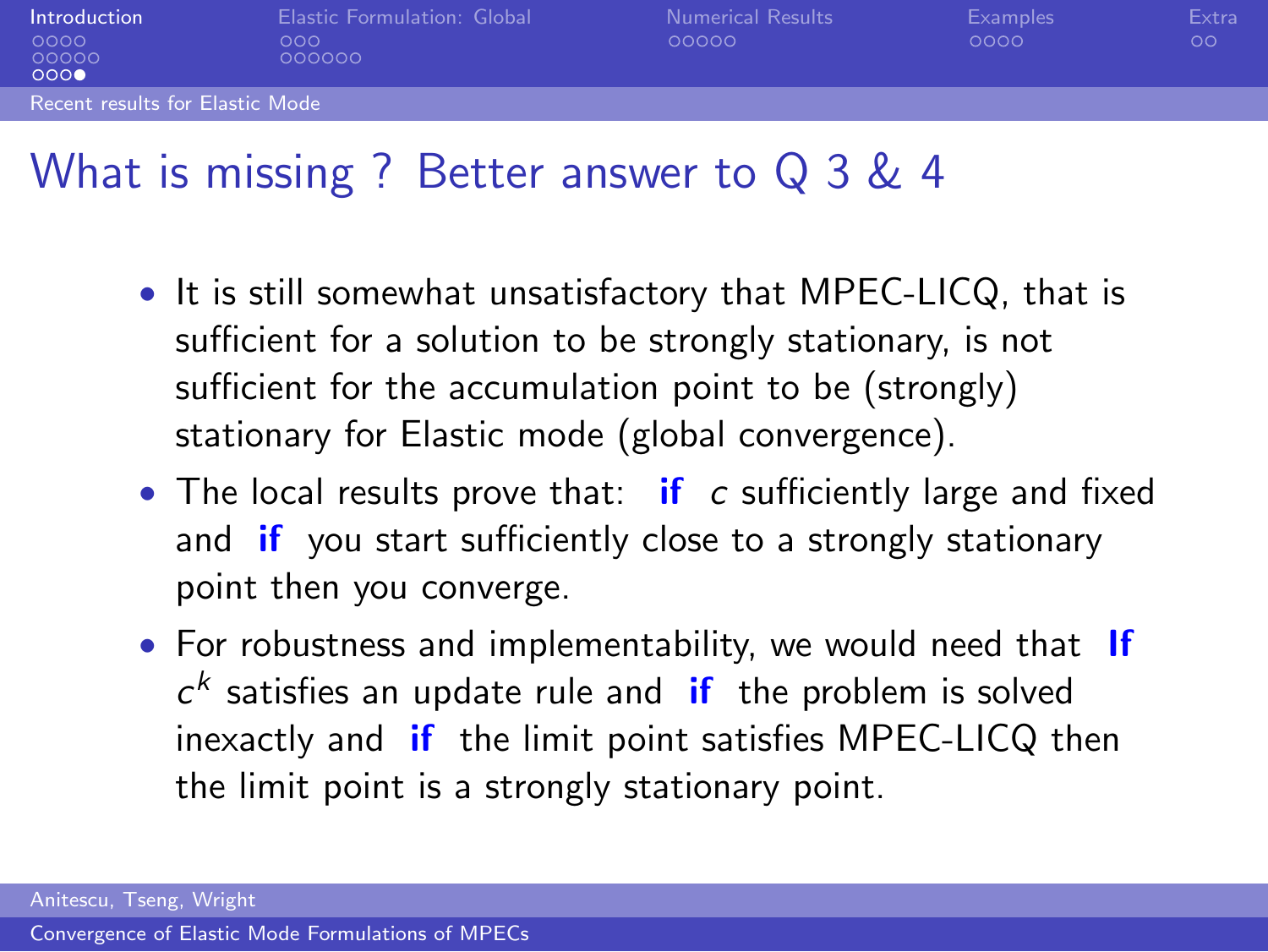| Introduction                           | Elastic Formulation: Global | <b>Numerical Results</b> | Examples | Extra   |
|----------------------------------------|-----------------------------|--------------------------|----------|---------|
| 0000<br>00000<br>0000                  | ೧೧೧<br>000000               | 00000                    | 0000     | $\circ$ |
| <b>Recent results for Elastic Mode</b> |                             |                          |          |         |

#### What is missing ? Better answer to Q 3 & 4

- It is still somewhat unsatisfactory that MPEC-LICQ, that is sufficient for a solution to be strongly stationary, is not sufficient for the accumulation point to be (strongly) stationary for Elastic mode (global convergence).
- The local results prove that:  $if c$  sufficiently large and fixed and **if** you start sufficiently close to a strongly stationary point then you converge.
- For robustness and implementability, we would need that If  $c<sup>k</sup>$  satisfies an update rule and if the problem is solved inexactly and if the limit point satisfies MPEC-LICQ then the limit point is a strongly stationary point.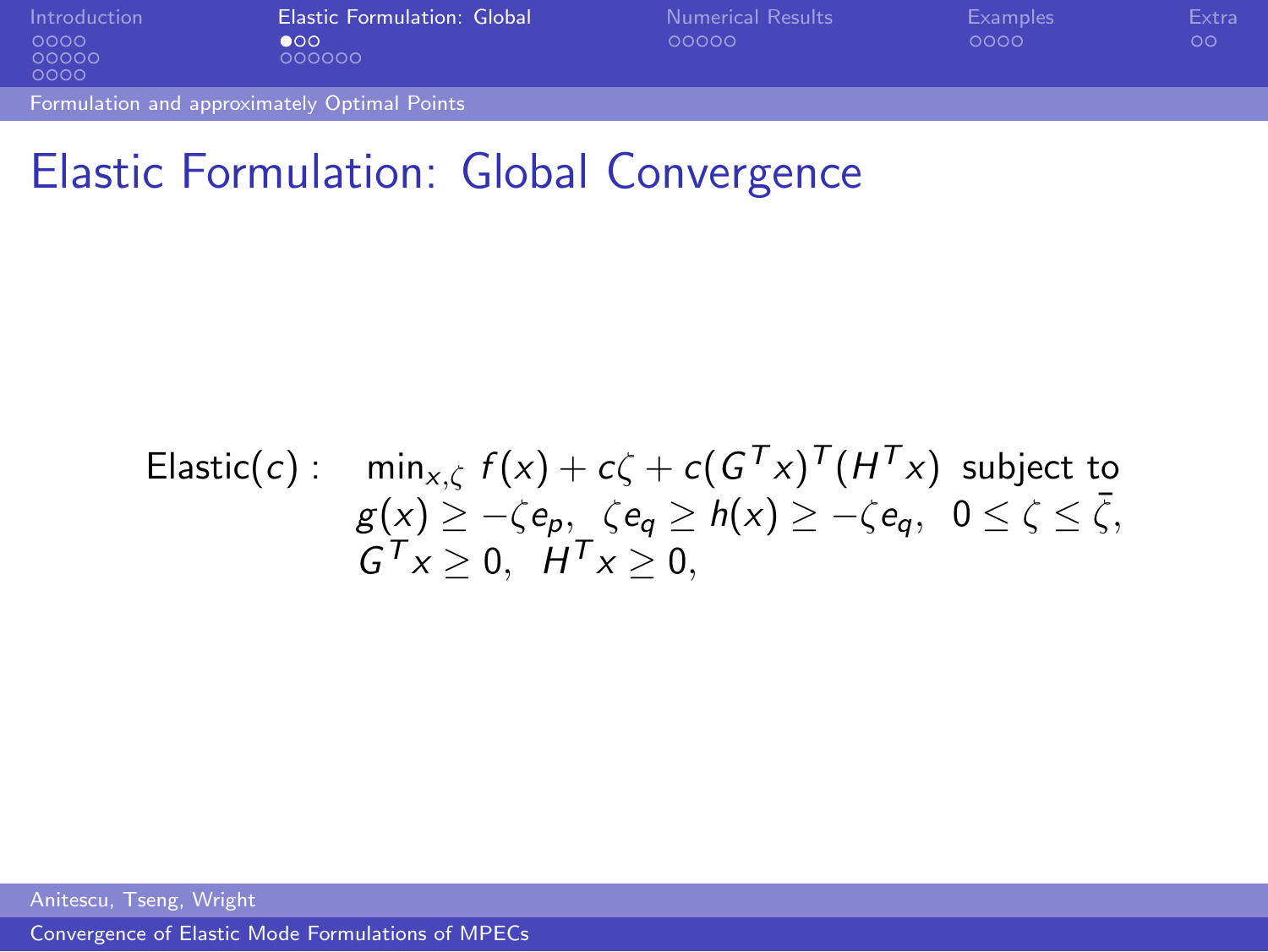| Introduction                                 | <b>Elastic Formulation: Global</b> | <b>Numerical Results</b> | Examples | Extra   |
|----------------------------------------------|------------------------------------|--------------------------|----------|---------|
| 0000<br>00000<br>0000                        | $\bullet$ OO<br>000000             | 00000                    | 0000     | $\circ$ |
| Formulation and approximately Optimal Points |                                    |                          |          |         |

### Elastic Formulation: Global Convergence

Elastic(c): 
$$
\min_{x,\zeta} f(x) + c\zeta + c(G^{\mathsf{T}}x)^{\mathsf{T}}(H^{\mathsf{T}}x)
$$
 subject to  

$$
g(x) \ge -\zeta e_p, \ \zeta e_q \ge h(x) \ge -\zeta e_q, \ 0 \le \zeta \le \overline{\zeta},
$$

$$
G^{\mathsf{T}}x \ge 0, \ H^{\mathsf{T}}x \ge 0,
$$

<span id="page-14-0"></span>Anitescu, Tseng, Wright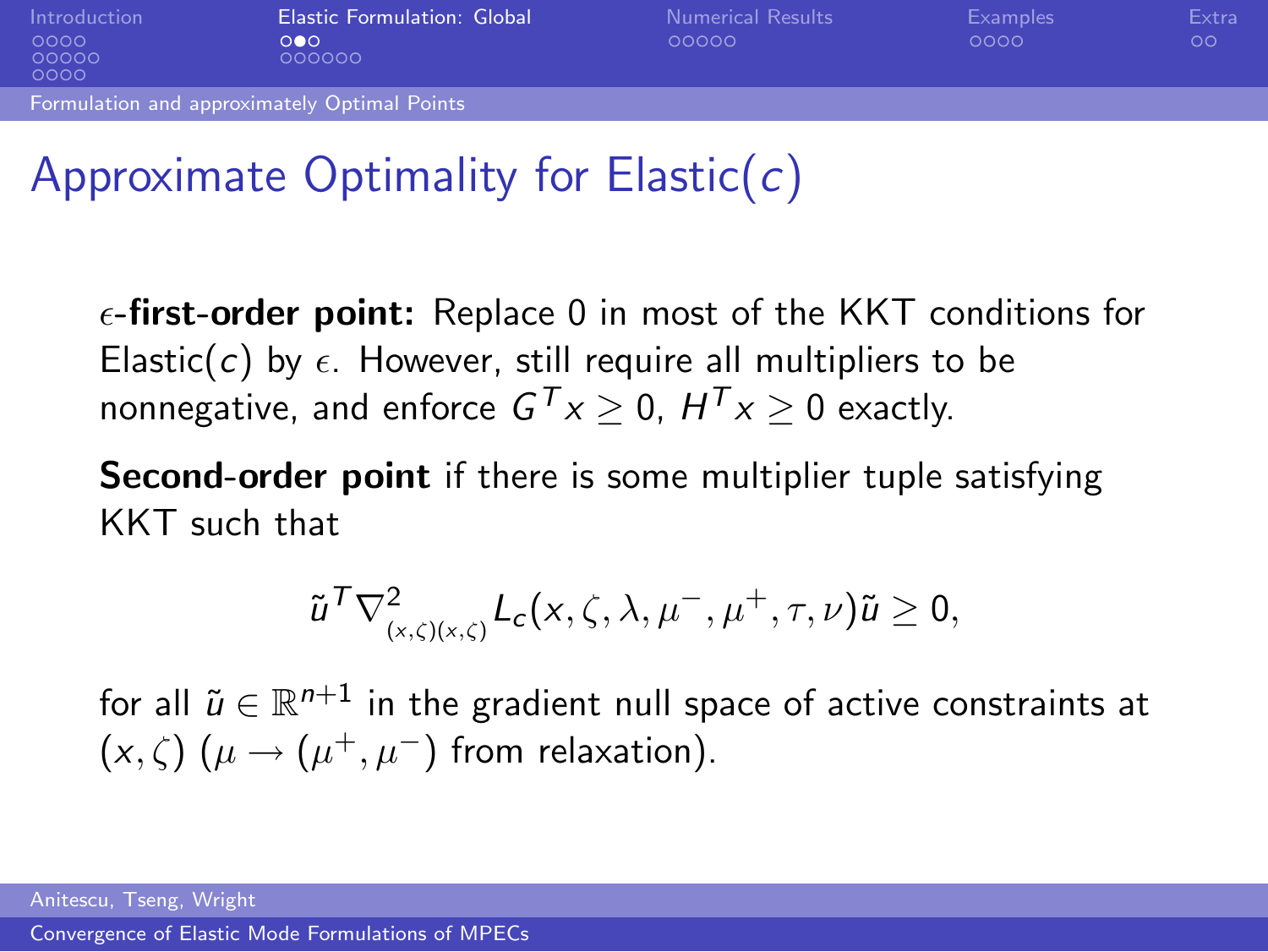| Introduction                                        | <b>Elastic Formulation: Global</b> | <b>Numerical Results</b> | Examples | Extra |
|-----------------------------------------------------|------------------------------------|--------------------------|----------|-------|
| 0000<br>00000<br>0000                               | ೧●೧<br>000000                      | 00000                    | 0000     | 00    |
| <b>Formulation and approximately Optimal Points</b> |                                    |                          |          |       |

# Approximate Optimality for Elastic( $c$ )

 $\epsilon$ -first-order point: Replace 0 in most of the KKT conditions for Elastic(c) by  $\epsilon$ . However, still require all multipliers to be nonnegative, and enforce  $G^{\mathcal{T}} x \geq 0$ ,  $H^{\mathcal{T}} x \geq 0$  exactly.

Second-order point if there is some multiplier tuple satisfying KKT such that

$$
\tilde{u}^{\mathcal{T}} \nabla^2_{(x,\zeta)(x,\zeta)} L_c(x,\zeta,\lambda,\mu^-,\mu^+,\tau,\nu) \tilde{u} \geq 0,
$$

for all  $\widetilde{u}\in \mathbb{R}^{n+1}$  in the gradient null space of active constraints at  $(x,\zeta)$   $(\mu \rightarrow (\mu^+, \mu^-)$  from relaxation).

Anitescu, Tseng, Wright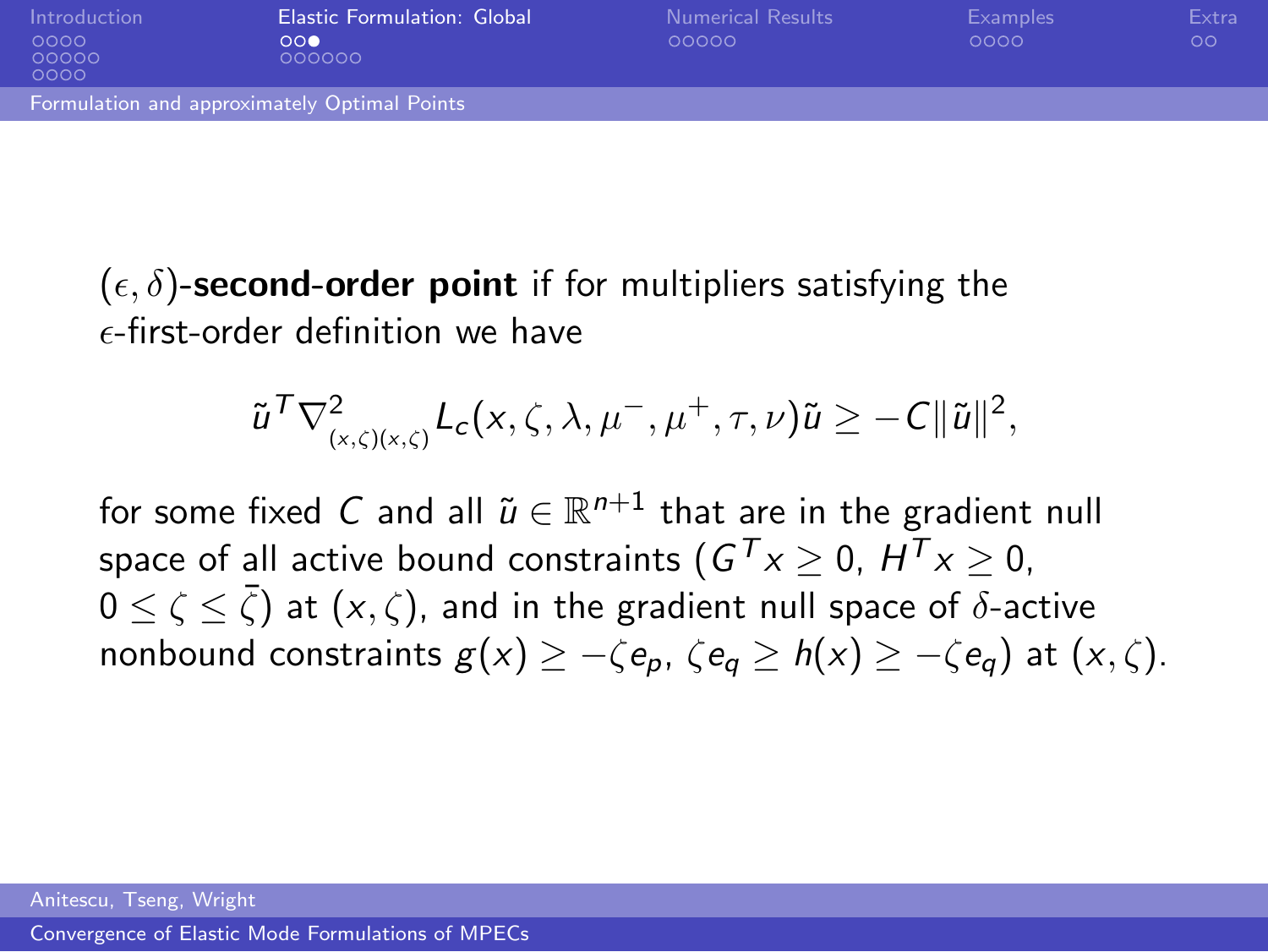| Introduction<br>0000<br>00000<br>0000 | <b>Elastic Formulation: Global</b><br>000<br>000000 | Numerical Results<br>00000 | Examples<br>0000 | Extra<br>OΟ |
|---------------------------------------|-----------------------------------------------------|----------------------------|------------------|-------------|
|                                       | Formulation and approximately Optimal Points        |                            |                  |             |

 $(\epsilon, \delta)$ -second-order point if for multipliers satisfying the  $\epsilon$ -first-order definition we have

$$
\tilde{u}^{\mathsf{T}}\nabla^2_{(x,\zeta)(x,\zeta)}L_c(x,\zeta,\lambda,\mu^-,\mu^+,\tau,\nu)\tilde{u}\geq-C\|\tilde{u}\|^2,
$$

for some fixed  $C$  and all  $\widetilde{u}\in \mathbb{R}^{n+1}$  that are in the gradient null space of all active bound constraints (  $G^{\mathcal{T}}x\geq0$ ,  $H^{\mathcal{T}}x\geq0$ ,  $0 \leq \zeta \leq \bar{\zeta})$  at  $(\mathsf{x},\zeta)$ , and in the gradient null space of  $\delta$ -active nonbound constraints  $g(x) \geq -\zeta e_n$ ,  $\zeta e_n \geq h(x) > -\zeta e_n$ ) at  $(x, \zeta)$ .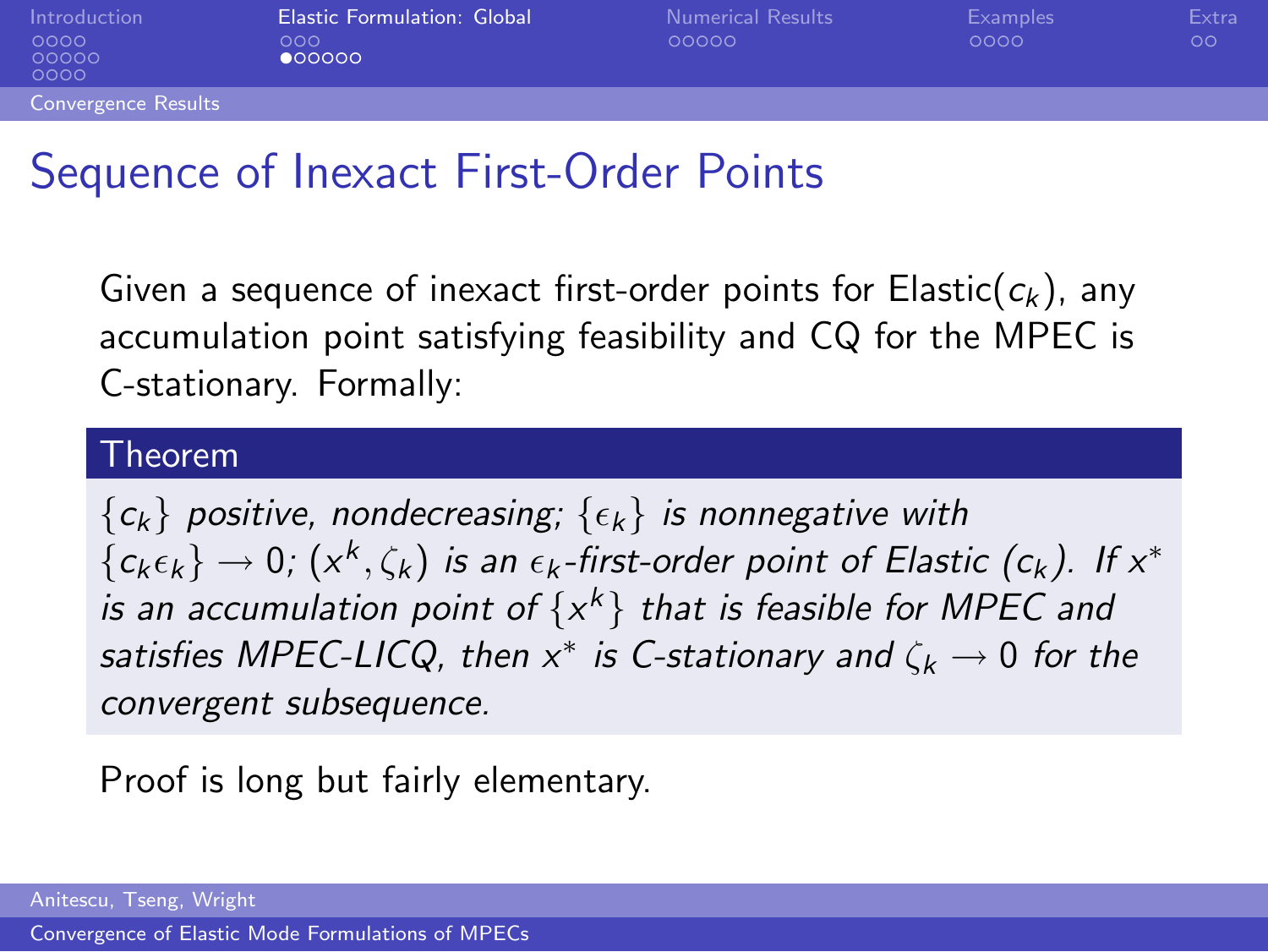| Introduction<br>0000<br>00000<br>0000 | <b>Elastic Formulation: Global</b><br>೧೧೧<br>000000 | <b>Numerical Results</b><br>00000 | Examples<br>0000 | Extra<br>$\circ$ |
|---------------------------------------|-----------------------------------------------------|-----------------------------------|------------------|------------------|
| <b>Convergence Results</b>            |                                                     |                                   |                  |                  |

#### Sequence of Inexact First-Order Points

Given a sequence of inexact first-order points for Elastic( $c_k$ ), any accumulation point satisfying feasibility and CQ for the MPEC is C-stationary. Formally:

#### Theorem

 ${c_k}$  positive, nondecreasing;  ${c_k}$  is nonnegative with  ${c_k \epsilon_k} \rightarrow 0$ ;  $(x^k, \zeta_k)$  is an  $\epsilon_k$ -first-order point of Elastic (c<sub>k</sub>). If  $x^*$ is an accumulation point of  $\{x^k\}$  that is feasible for MPEC and satisfies MPEC-LICQ, then  $x^*$  is C-stationary and  $\zeta_k \to 0$  for the convergent subsequence.

Proof is long but fairly elementary.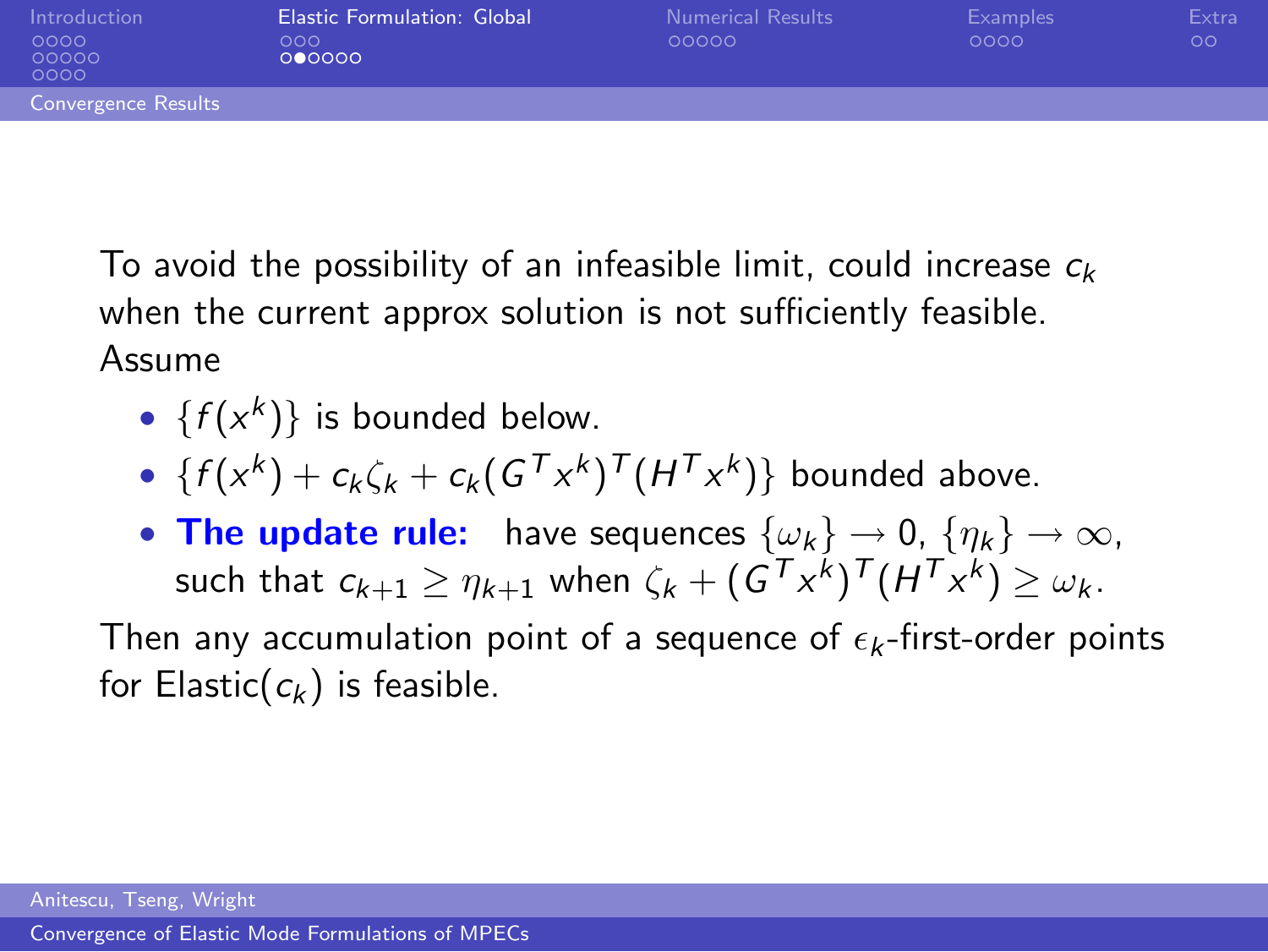| Introduction<br>0000<br>00000<br>0000 | Elastic Formulation: Global<br>000<br>000000 | Numerical Results<br>00000 | <b>Examples</b><br>0000 | Extra<br>$\circ$ |
|---------------------------------------|----------------------------------------------|----------------------------|-------------------------|------------------|
| <b>Convergence Results</b>            |                                              |                            |                         |                  |
|                                       |                                              |                            |                         |                  |

To avoid the possibility of an infeasible limit, could increase  $c_k$ when the current approx solution is not sufficiently feasible. Assume

- $\{f(x^k)\}\)$  is bounded below.
- $\{f(x^k) + c_k \zeta_k + c_k(G^{\mathsf{T}} x^k)^{\mathsf{T}} (H^{\mathsf{T}} x^k)\}$  bounded above.
- The update rule: have sequences  $\{\omega_k\} \to 0$ ,  $\{\eta_k\} \to \infty$ , such that  $c_{k+1} \ge \eta_{k+1}$  when  $\zeta_k + (\mathsf{G}^\mathsf{T} x^k)^\mathsf{T} (\mathsf{H}^\mathsf{T} x^k) \ge \omega_k$ .

Then any accumulation point of a sequence of  $\epsilon_k$ -first-order points for Elastic( $c_k$ ) is feasible.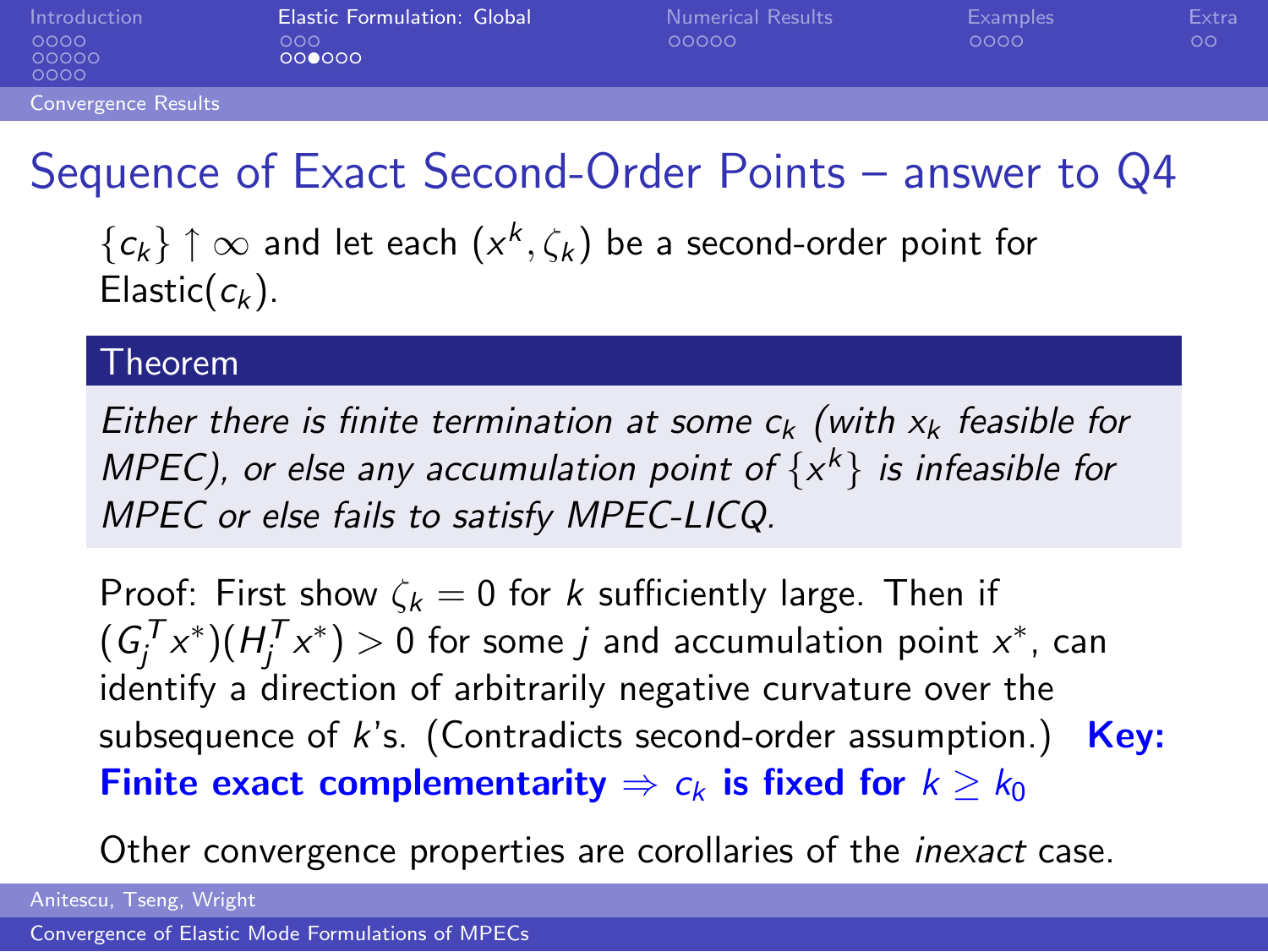| Introduction          | Elastic Formulation: Global | <b>Numerical Results</b> | Examples | Extral |
|-----------------------|-----------------------------|--------------------------|----------|--------|
| 0000<br>00000<br>0000 | 000<br>000000               | 00000                    | 0000     | OΟ     |
| Convergence Results   |                             |                          |          |        |

## Sequence of Exact Second-Order Points – answer to Q4

 $\{\pmb{c}_k\}\restriction \infty$  and let each  $(\pmb{x}^k,\zeta_k)$  be a second-order point for Elastic( $c_k$ ).

#### **Theorem**

Either there is finite termination at some  $c_k$  (with  $x_k$  feasible for MPEC), or else any accumulation point of  $\{x^k\}$  is infeasible for MPEC or else fails to satisfy MPEC-LICQ.

Proof: First show  $\zeta_k = 0$  for k sufficiently large. Then if  $(G_{j}^{\mathcal{T}}x^{\ast})(H_{j}^{\mathcal{T}}x^{\ast})>0$  for some  $j$  and accumulation point  $x^{\ast}$ , can identify a direction of arbitrarily negative curvature over the subsequence of  $k$ 's. (Contradicts second-order assumption.) Key: Finite exact complementarity  $\Rightarrow c_k$  is fixed for  $k \geq k_0$ 

Other convergence properties are corollaries of the inexact case.

Anitescu, Tseng, Wright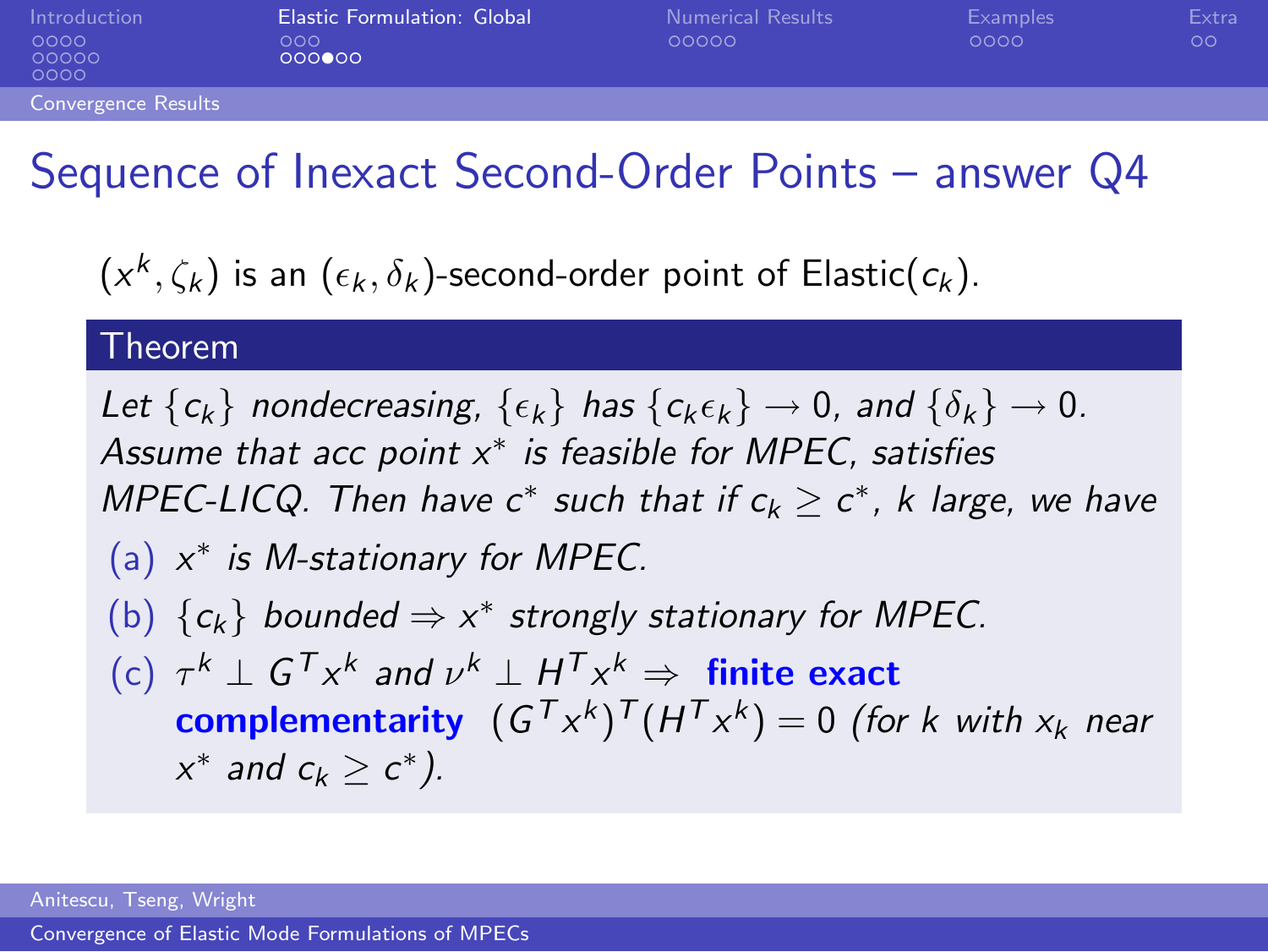| Introduction          | Elastic Formulation: Global | <b>Numerical Results</b> | Examples | Extral |
|-----------------------|-----------------------------|--------------------------|----------|--------|
| 0000<br>00000<br>0000 | 000<br>000000               | 00000                    | 0000     | oο     |
| Convergence Results   |                             |                          |          |        |

### Sequence of Inexact Second-Order Points – answer Q4

 $(\mathsf{x}^k,\zeta_k)$  is an  $(\epsilon_k,\delta_k)$ -second-order point of Elastic $(\mathsf{c}_k)$ .

#### Theorem

Let  $\{c_k\}$  nondecreasing,  $\{\epsilon_k\}$  has  $\{c_k\epsilon_k\} \rightarrow 0$ , and  $\{\delta_k\} \rightarrow 0$ . Assume that acc point  $x^*$  is feasible for MPEC, satisfies MPEC-LICQ. Then have  $c^*$  such that if  $c_k \geq c^*$ , k large, we have (a)  $x^*$  is M-stationary for MPEC. (b)  $\{c_k\}$  bounded  $\Rightarrow x^*$  strongly stationary for MPEC. (c)  $\tau^k \perp G^T x^k$  and  $\nu^k \perp H^T x^k \Rightarrow$  finite exact **complementarity**  $(G^T x^k)^T (H^T x^k) = 0$  (for k with  $x_k$  near  $x^*$  and  $c_k \geq c^*$ ).

Anitescu, Tseng, Wright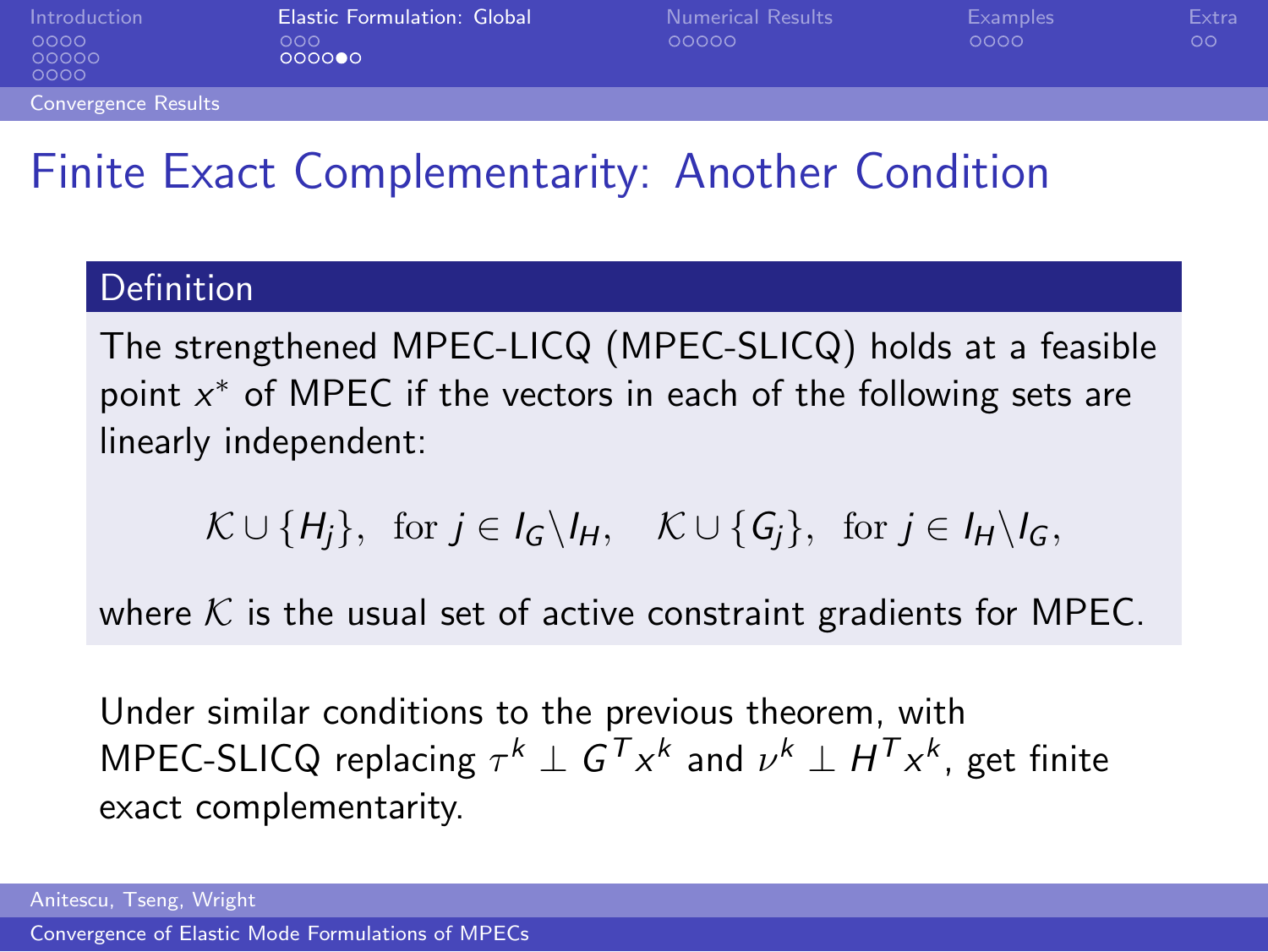| Introduction<br>0000<br>00000<br>0000 | <b>Elastic Formulation: Global</b><br>000<br>000000 | <b>Numerical Results</b><br>00000 | Examples<br>0000 | Extra<br>ОO |
|---------------------------------------|-----------------------------------------------------|-----------------------------------|------------------|-------------|
| <b>Convergence Results</b>            |                                                     |                                   |                  |             |

## Finite Exact Complementarity: Another Condition

#### Definition

The strengthened MPEC-LICQ (MPEC-SLICQ) holds at a feasible point  $x^*$  of MPEC if the vectors in each of the following sets are linearly independent:

 $\mathcal{K} \cup \{H_i\}$ , for  $j \in I_G \backslash I_H$ ,  $\mathcal{K} \cup \{G_i\}$ , for  $j \in I_H \backslash I_G$ ,

where  $K$  is the usual set of active constraint gradients for MPEC.

Under similar conditions to the previous theorem, with <code>MPEC-SLICQ</code> replacing  $\tau^k \perp G^{\mathcal{T}} x^k$  and  $\nu^k \perp H^{\mathcal{T}} x^k$ , get finite exact complementarity.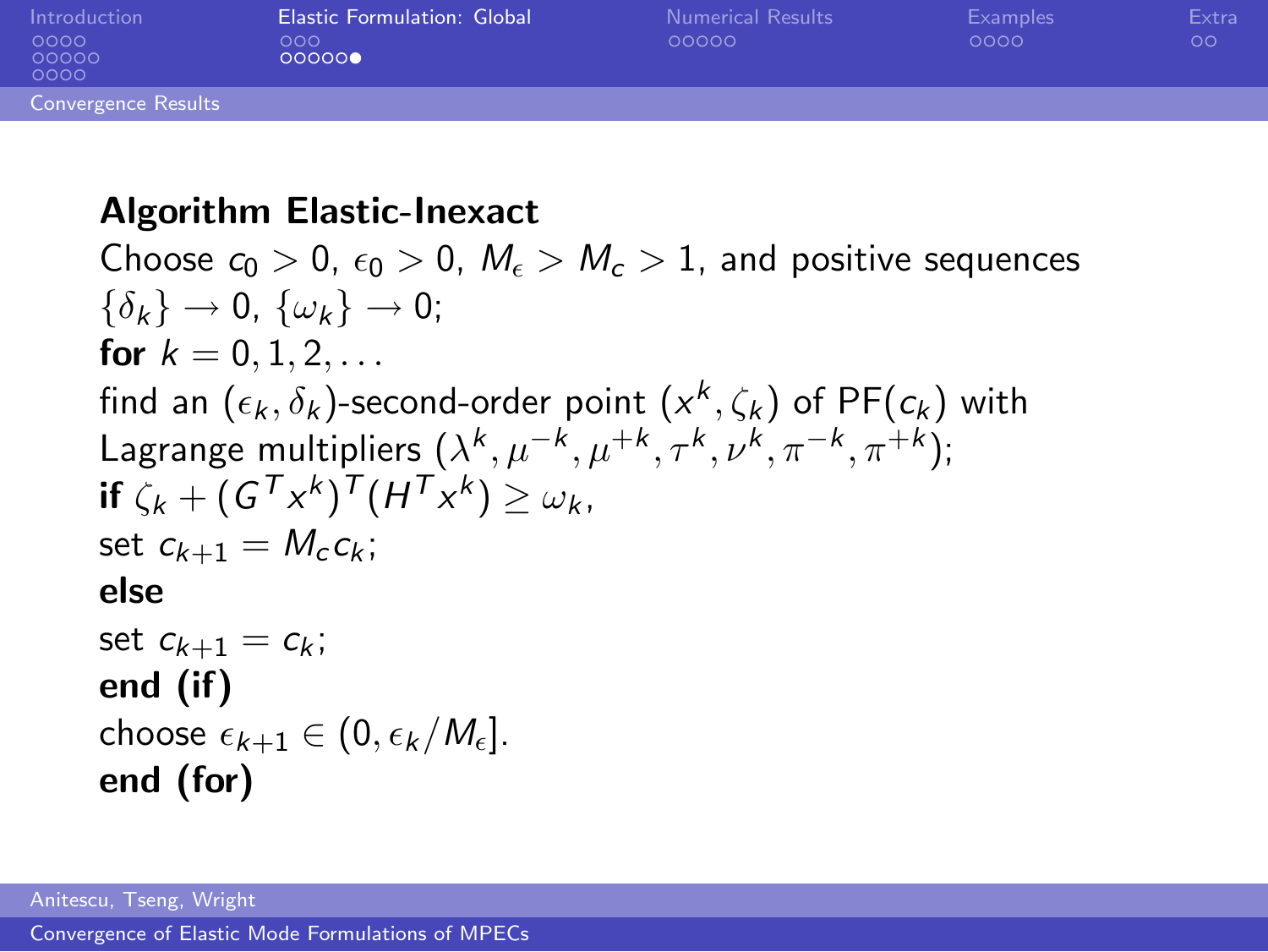| Introduction               | <b>Elastic Formulation: Global</b> | <b>Numerical Results</b> | <b>Examples</b> | Extra   |
|----------------------------|------------------------------------|--------------------------|-----------------|---------|
| 0000<br>00000<br>0000      | 000<br>000000                      | 00000                    | 0000            | $\circ$ |
| <b>Convergence Results</b> |                                    |                          |                 |         |

#### Algorithm Elastic-Inexact

Choose  $c_0 > 0$ ,  $\epsilon_0 > 0$ ,  $M_{\epsilon} > M_{\epsilon} > 1$ , and positive sequences  $\{\delta_k\} \rightarrow 0$ ,  $\{\omega_k\} \rightarrow 0$ ; for  $k = 0, 1, 2, \ldots$ find an  $(\epsilon_k, \delta_k)$ -second-order point  $({\mathsf{x}}^k,\zeta_k)$  of PF $(\epsilon_k)$  with Lagrange multipliers  $(\lambda^k, \mu^{-k}, \mu^{+k}, \tau^k, \nu^k, \pi^{-k}, \pi^{+k});$ if  $\zeta_k + (G^T x^k)^T (H^T x^k) \ge \omega_k$ , set  $c_{k+1} = M_c c_k$ ; else set  $c_{k+1} = c_k$ ; end (if) choose  $\epsilon_{k+1} \in (0, \epsilon_k/M_{\epsilon}).$ end (for)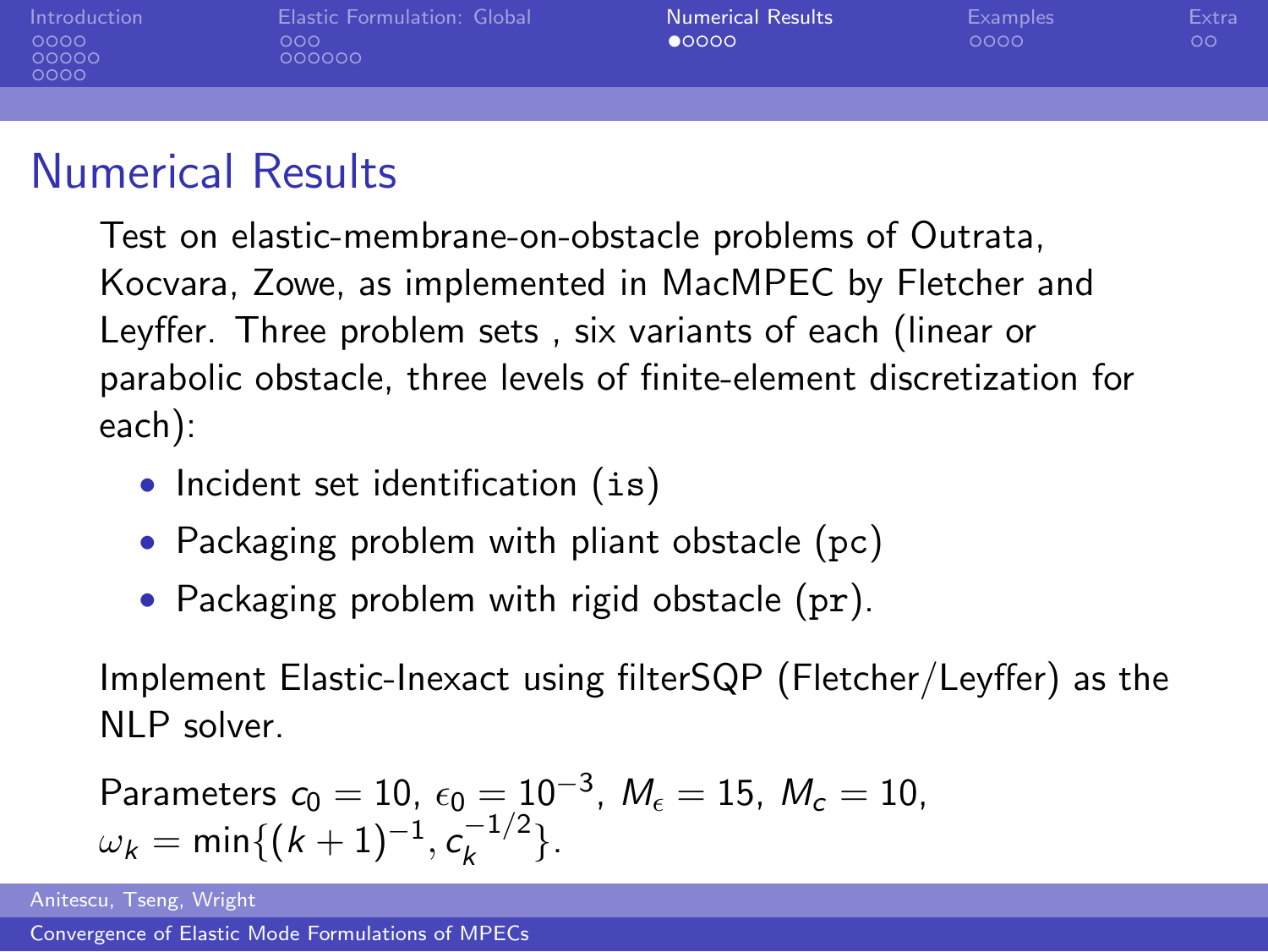| Introduction<br>0000<br>00000<br>0000 | Elastic Formulation: Global<br>000<br>000000 | <b>Numerical Results</b><br>00000 | <b>Examples</b><br>0000 | Extra<br>$\circ$ |
|---------------------------------------|----------------------------------------------|-----------------------------------|-------------------------|------------------|
|                                       |                                              |                                   |                         |                  |
|                                       |                                              |                                   |                         |                  |

### Numerical Results

Test on elastic-membrane-on-obstacle problems of Outrata, Kocvara, Zowe, as implemented in MacMPEC by Fletcher and Leyffer. Three problem sets , six variants of each (linear or parabolic obstacle, three levels of finite-element discretization for each):

- Incident set identification (is)
- Packaging problem with pliant obstacle (pc)
- Packaging problem with rigid obstacle (pr).

Implement Elastic-Inexact using filterSQP (Fletcher/Leyffer) as the NLP solver.

<span id="page-23-0"></span>Parameters 
$$
c_0 = 10
$$
,  $\epsilon_0 = 10^{-3}$ ,  $M_{\epsilon} = 15$ ,  $M_{\epsilon} = 10$ ,  
 $\omega_k = \min\{(k+1)^{-1}, c_k^{-1/2}\}$ .

Anitescu, Tseng, Wright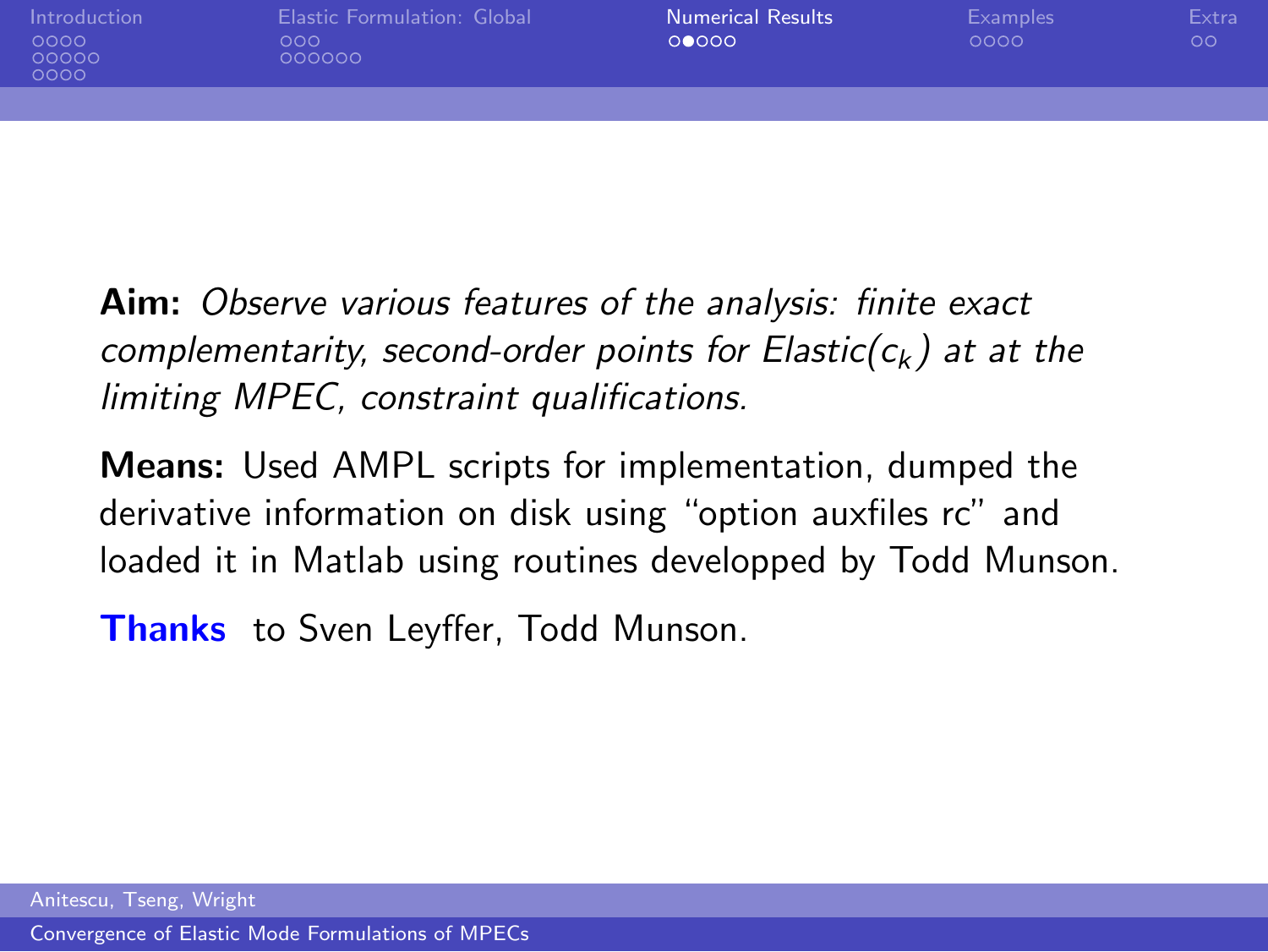| Introduction<br>0000<br>00000<br>0000 | <b>Elastic Formulation: Global</b><br>000<br>000000 | <b>Numerical Results</b><br>00000 | Examples<br>0000 | Extra<br>$\circ$ |
|---------------------------------------|-----------------------------------------------------|-----------------------------------|------------------|------------------|
|                                       |                                                     |                                   |                  |                  |

Aim: Observe various features of the analysis: finite exact complementarity, second-order points for Elastic( $c_k$ ) at at the limiting MPEC, constraint qualifications.

Means: Used AMPL scripts for implementation, dumped the derivative information on disk using "option auxfiles rc" and loaded it in Matlab using routines developped by Todd Munson.

**Thanks** to Sven Leyffer, Todd Munson.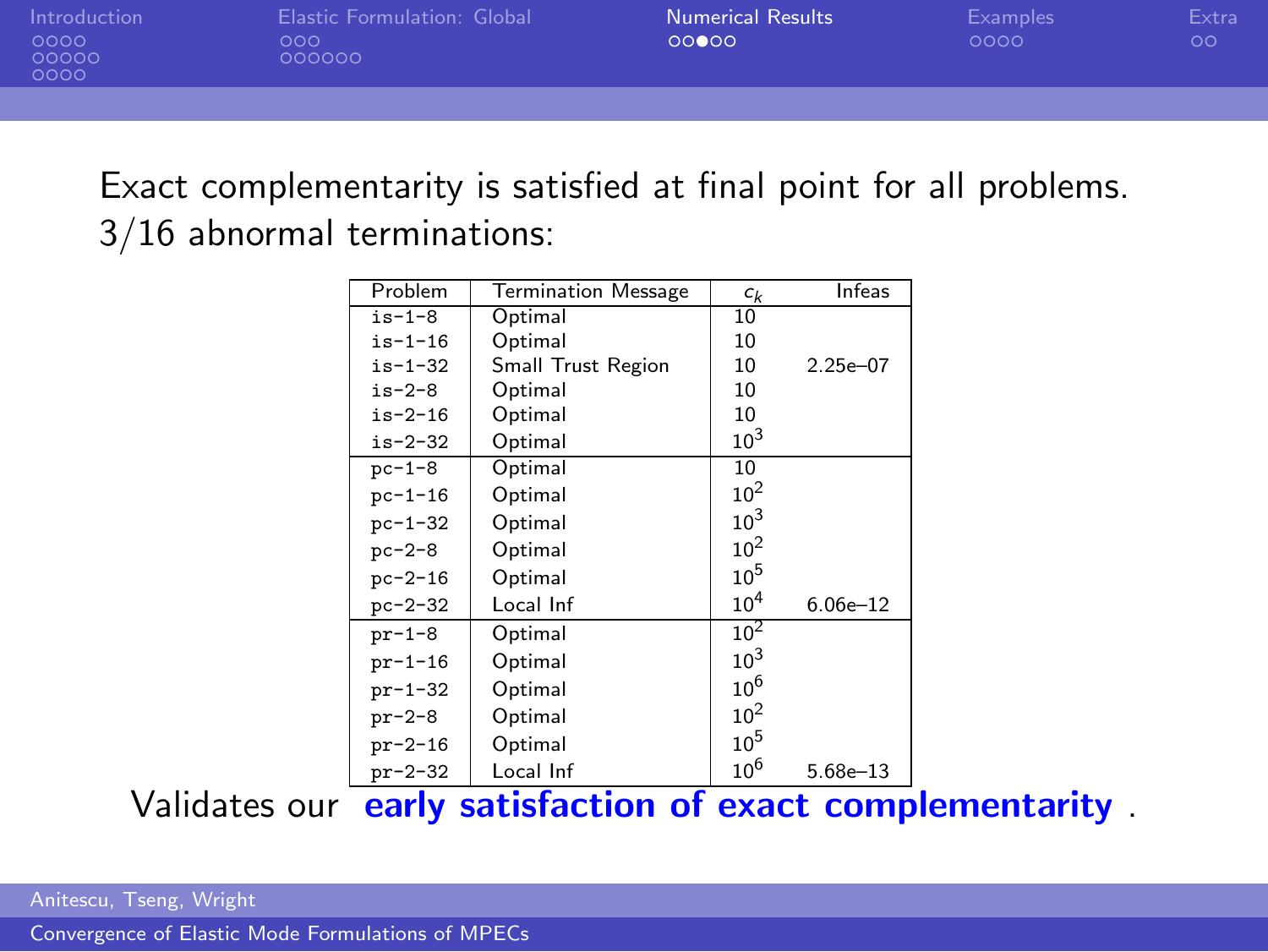| Introduction  | Elastic Formulation: Global | <b>Numerical Results</b> | Examples | Extra |
|---------------|-----------------------------|--------------------------|----------|-------|
| 0000<br>00000 | റററ<br>000000               | 00000                    | 0000     | നവ    |
| noon.         |                             |                          |          |       |

Exact complementarity is satisfied at final point for all problems. 3/16 abnormal terminations:

| Problem       | <b>Termination Message</b> | $c_k$           | Infeas       |
|---------------|----------------------------|-----------------|--------------|
| $is-1-8$      | Optimal                    | 10              |              |
| $is - 1 - 16$ | Optimal                    | 10              |              |
| $is - 1 - 32$ | Small Trust Region         | 10              | $2.25e - 07$ |
| $is-2-8$      | Optimal                    | 10              |              |
| $is-2-16$     | Optimal                    | 10              |              |
| $is-2-32$     | Optimal                    | $10^{3}$        |              |
| $pc-1-8$      | Optimal                    | 10              |              |
| $pc - 1 - 16$ | Optimal                    | $10^{2}$        |              |
| $pc - 1 - 32$ | Optimal                    | $10^3$          |              |
| $pc - 2 - 8$  | Optimal                    | $10^{2}$        |              |
| $pc - 2 - 16$ | Optimal                    | $10^{5}$        |              |
| $pc - 2 - 32$ | Local Inf                  | 10 <sup>4</sup> | $6.06e - 12$ |
| $pr-1-8$      | Optimal                    | $10^{2}$        |              |
| $pr-1-16$     | Optimal                    | $10^3$          |              |
| $pr-1-32$     | Optimal                    | $10^{6}$        |              |
| $pr-2-8$      | Optimal                    | $10^{2}$        |              |
| $pr-2-16$     | Optimal                    | $10^{5}$        |              |
| $pr-2-32$     | Local Inf                  | $10^{6}$        | $5.68e - 13$ |

Validates our early satisfaction of exact complementarity .

Anitescu, Tseng, Wright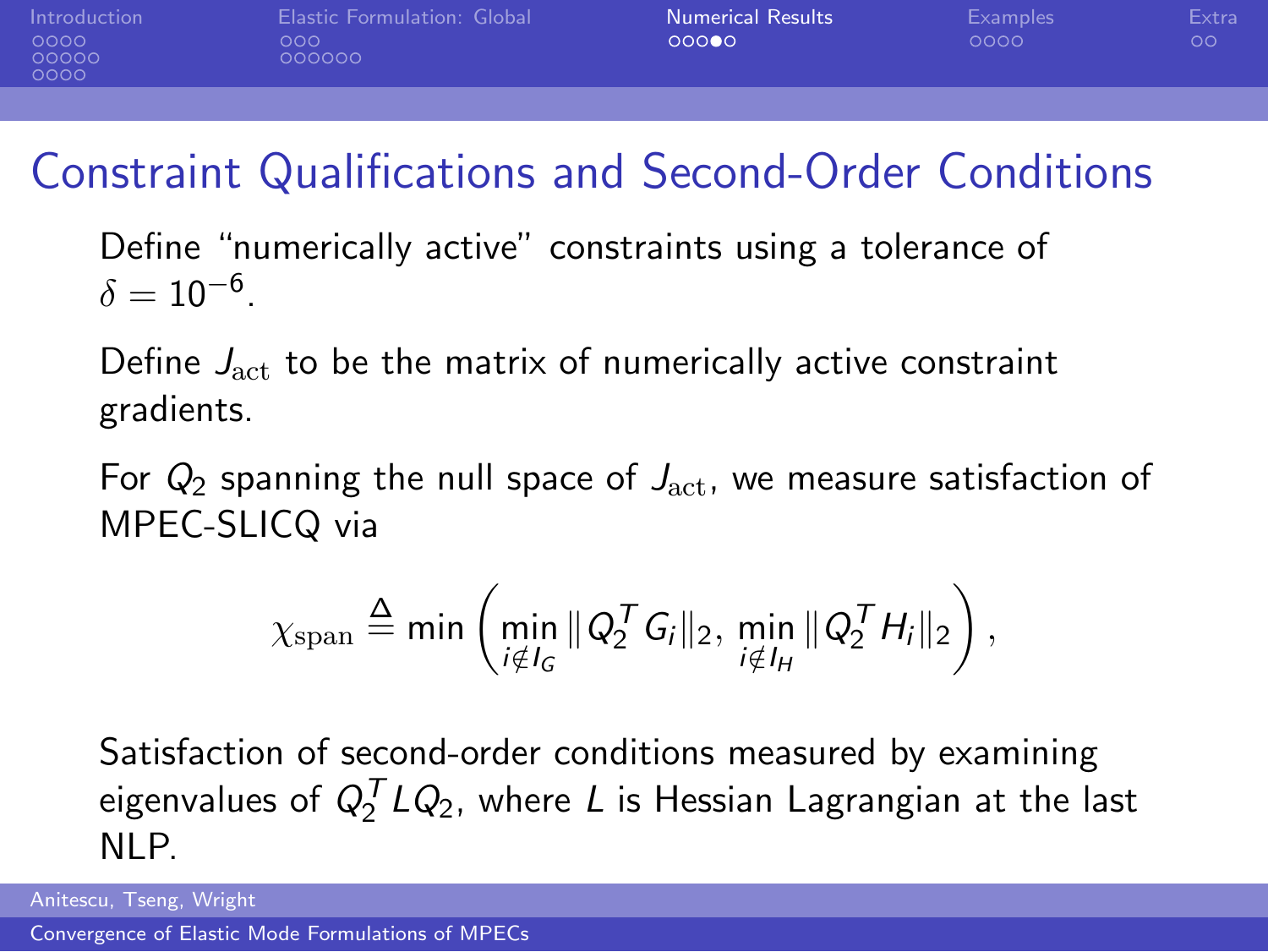[Introduction](#page-1-0) **[Elastic Formulation: Global](#page-14-0) [Numerical Results](#page-23-0)** [Examples](#page-28-0) [Extra](#page-32-0)<br>0000 000 000 000 000 000 000 00 000000

## Constraint Qualifications and Second-Order Conditions

Define "numerically active" constraints using a tolerance of  $\delta = 10^{-6}.$ 

Define  $J_{\text{act}}$  to be the matrix of numerically active constraint gradients.

For  $Q_2$  spanning the null space of  $J_{\text{act}}$ , we measure satisfaction of MPEC-SLICQ via

$$
\chi_{\text{span}} \stackrel{\Delta}{=} \min \left( \min_{i \notin I_G} \| Q_2^{\mathcal{T}} G_i \|_2, \min_{i \notin I_H} \| Q_2^{\mathcal{T}} H_i \|_2 \right),
$$

Satisfaction of second-order conditions measured by examining eigenvalues of  $Q_2^{\mathcal T} LQ_2$ , where  $L$  is Hessian Lagrangian at the last NLP.

Anitescu, Tseng, Wright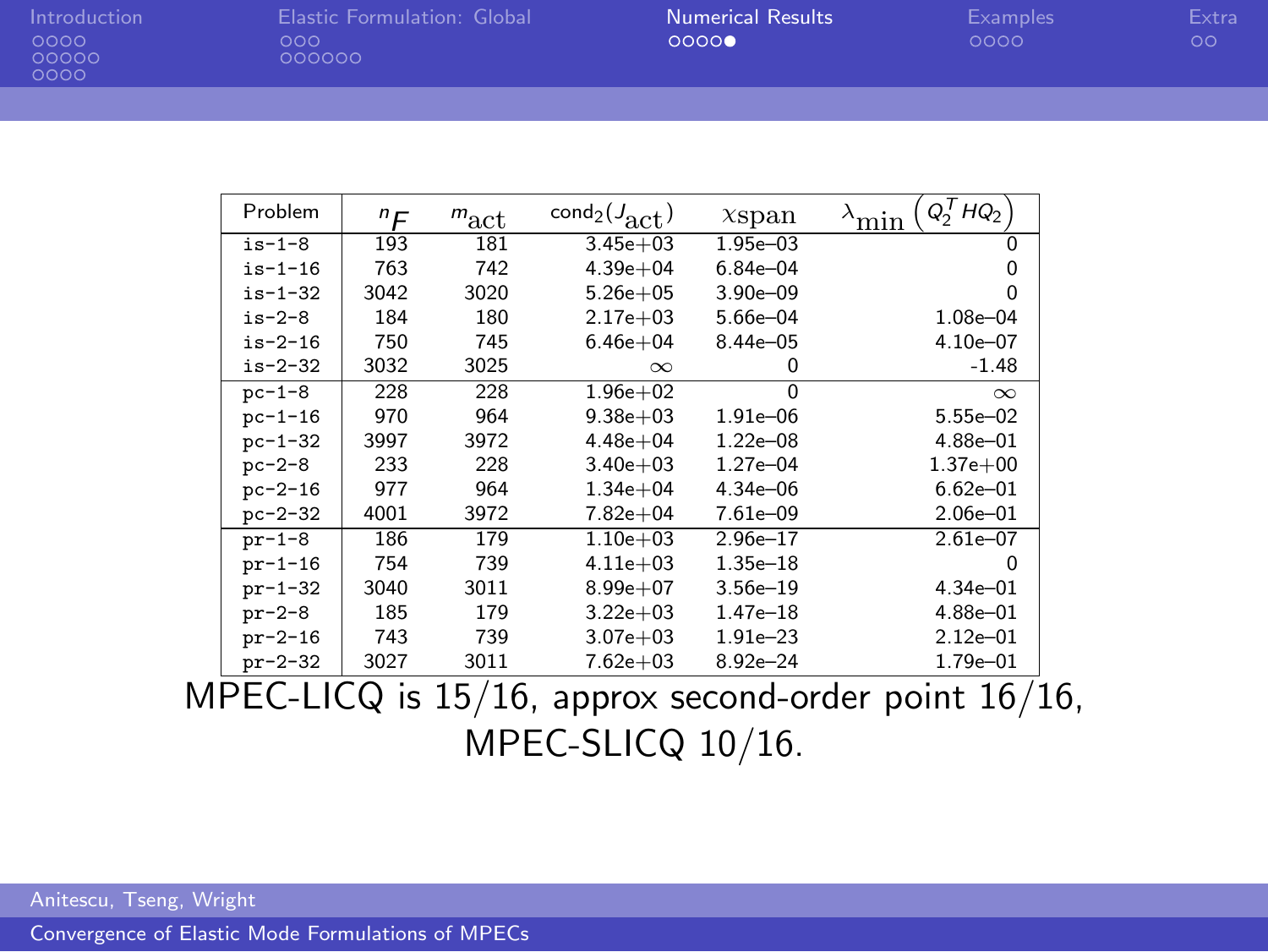| Introduction |  |
|--------------|--|
| 0000         |  |
| ററററ         |  |

0000

[Introduction](#page-1-0) [Elastic Formulation: Global](#page-14-0) [Numerical Results](#page-23-0) [Examples](#page-28-0) [Extra](#page-32-0)

| Problem       | "F   | $m_{\rm act}$ | $cond_2(J_{\text{act}})$ | $x$ span     | $Q_2^THQ_2$<br>min |
|---------------|------|---------------|--------------------------|--------------|--------------------|
| $is-1-8$      | 193  | 181           | $3.45e + 03$             | $1.95e - 03$ | 0                  |
| $is-1-16$     | 763  | 742           | $4.39e + 04$             | $6.84e - 04$ |                    |
| $is - 1 - 32$ | 3042 | 3020          | $5.26e + 05$             | $3.90e - 09$ | n                  |
| $is-2-8$      | 184  | 180           | $2.17e + 03$             | 5.66e-04     | 1.08e-04           |
| $is-2-16$     | 750  | 745           | $6.46e + 04$             | $8.44e - 05$ | 4.10e-07           |
| $is - 2 - 32$ | 3032 | 3025          | $\infty$                 | 0            | $-1.48$            |
| $pc - 1 - 8$  | 228  | 228           | $1.96e + 02$             | $\Omega$     | $\infty$           |
| $pc - 1 - 16$ | 970  | 964           | $9.38e + 03$             | $1.91e - 06$ | $5.55e - 02$       |
| $pc - 1 - 32$ | 3997 | 3972          | $4.48e + 04$             | $1.22e - 08$ | 4.88e-01           |
| $pc-2-8$      | 233  | 228           | $3.40e + 03$             | $1.27e - 04$ | $1.37e + 00$       |
| $pc - 2 - 16$ | 977  | 964           | $1.34e + 04$             | 4.34e-06     | $6.62e - 01$       |
| $pc - 2 - 32$ | 4001 | 3972          | $7.82e + 04$             | 7.61e-09     | $2.06e - 01$       |
| $pr-1-8$      | 186  | 179           | $1.10e + 03$             | $2.96e - 17$ | $2.61e - 07$       |
| $pr-1-16$     | 754  | 739           | $4.11e + 03$             | $1.35e - 18$ | o                  |
| $pr-1-32$     | 3040 | 3011          | $8.99e + 07$             | $3.56e - 19$ | $4.34e - 01$       |
| $pr-2-8$      | 185  | 179           | $3.22e + 03$             | $1.47e - 18$ | 4.88e-01           |
| $pr-2-16$     | 743  | 739           | $3.07e + 03$             | $1.91e - 23$ | $2.12e - 01$       |
| $pr-2-32$     | 3027 | 3011          | $7.62e + 03$             | $8.92e - 24$ | 1.79e-01           |

MPEC-LICQ is 15/16, approx second-order point 16/16, MPEC-SLICQ 10/16.

Anitescu, Tseng, Wright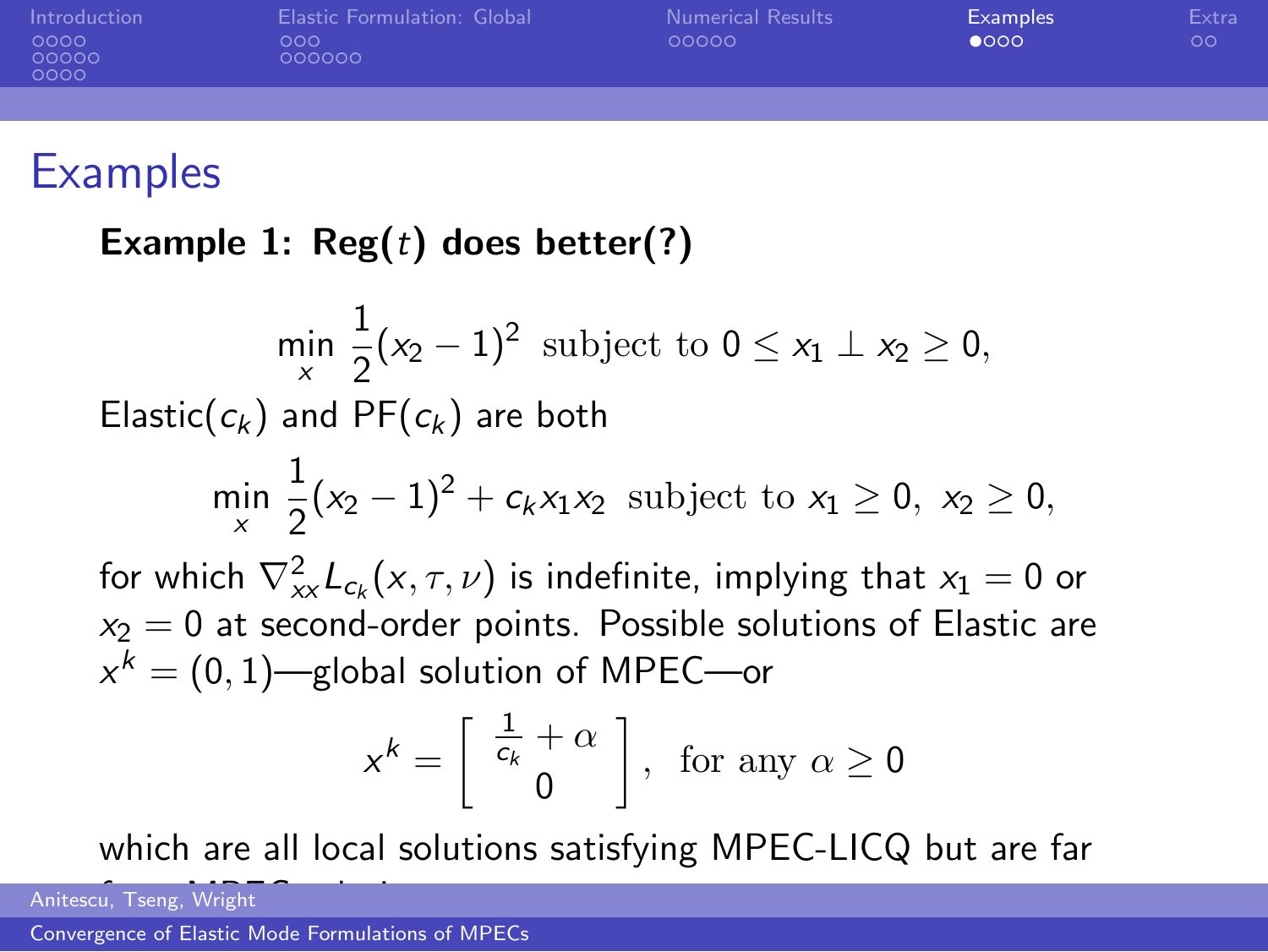[Introduction](#page-1-0) [Elastic Formulation: Global](#page-14-0) [Numerical Results](#page-23-0) [Examples](#page-28-0) [Extra](#page-32-0)  $000000$ 00000 0000

#### **Examples**

Example 1:  $\text{Reg}(t)$  does better(?)

$$
\min_{x} \frac{1}{2}(x_2 - 1)^2
$$
 subject to  $0 \le x_1 \perp x_2 \ge 0$ ,  
Elastic( $c_k$ ) and PF( $c_k$ ) are both  

$$
\min_{x} \frac{1}{2}(x_2 - 1)^2 + c_k x_1 x_2
$$
 subject to  $x_1 \ge 0$ ,  $x_2 \ge 0$ ,  
for which  $\nabla_{xx}^2 L_{c_k}(x, \tau, \nu)$  is indefinite, implying that  $x_1 = 0$  or  
 $x_2 = 0$  at second-order points. Possible solutions of Elastic are  
 $x^k = (0, 1)$ —global solution of MPEG—or

<span id="page-28-0"></span>
$$
x^k = \left[ \begin{array}{c} \frac{1}{c_k} + \alpha \\ 0 \end{array} \right], \text{ for any } \alpha \ge 0
$$

which are all local solutions satisfying MPEC-LICQ but are far

Anitescu, Tseng, Wright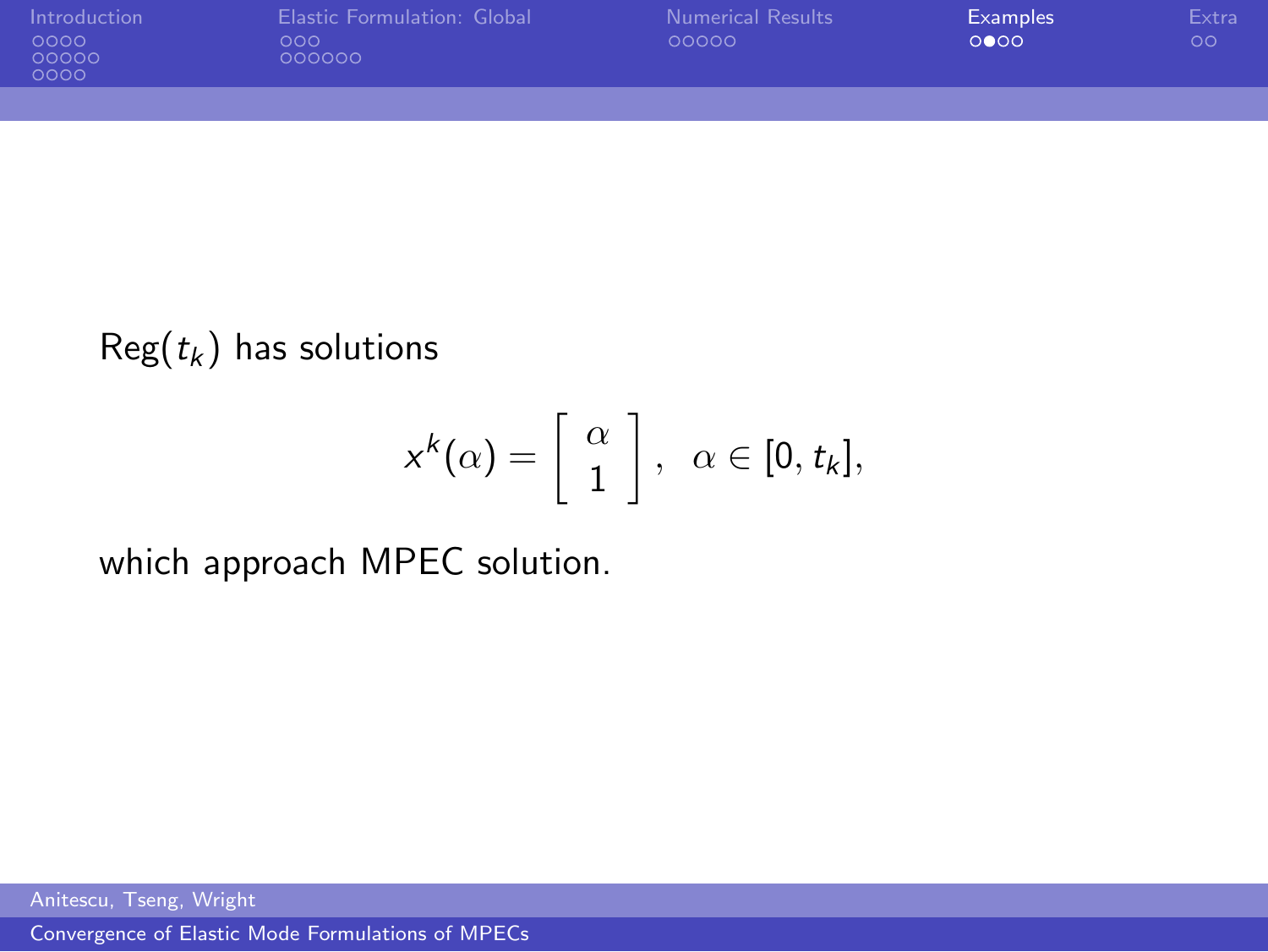| Introduction<br>0000<br>00000<br>0000 | <b>Elastic Formulation: Global</b><br>000<br>000000 | <b>Numerical Results</b><br>00000 | Examples<br>0000 | Extra<br>$\circ$ |
|---------------------------------------|-----------------------------------------------------|-----------------------------------|------------------|------------------|
|                                       |                                                     |                                   |                  |                  |

#### $Reg(t_k)$  has solutions

$$
x^k(\alpha)=\left[\begin{array}{c} \alpha\\ 1\end{array}\right],\;\;\alpha\in[0,t_k],
$$

which approach MPEC solution.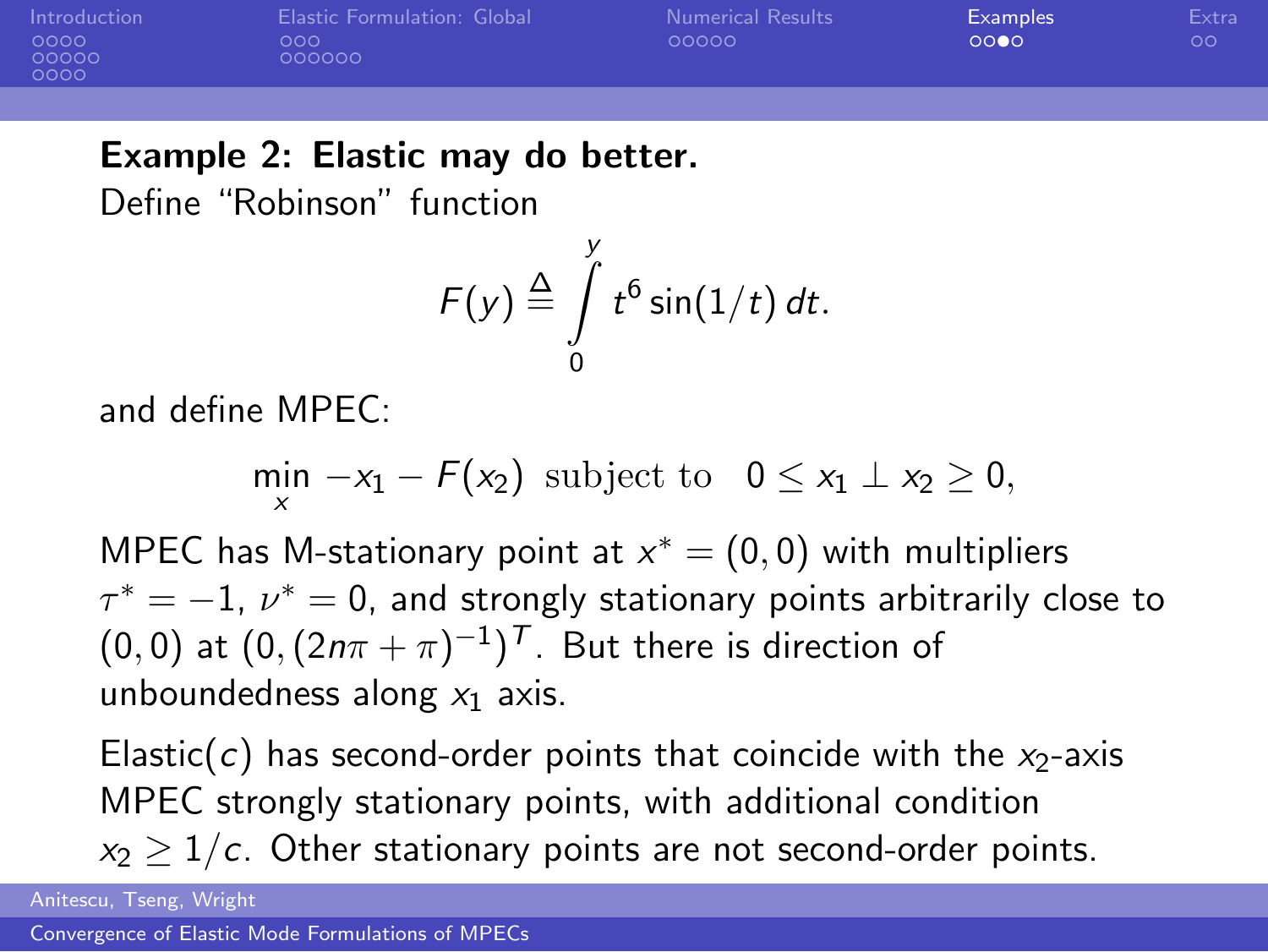| Introduction<br>0000<br>00000<br>0000 | Elastic Formulation: Global<br>000 <sub>o</sub><br>000000 | <b>Numerical Results</b><br>00000 | Examples<br>0000 | Extra<br>$\circ$ |
|---------------------------------------|-----------------------------------------------------------|-----------------------------------|------------------|------------------|
|                                       |                                                           |                                   |                  |                  |

#### Example 2: Elastic may do better.

Define "Robinson" function

$$
F(y) \stackrel{\Delta}{=} \int\limits_{0}^{y} t^6 \sin(1/t) dt.
$$

and define MPEC:

$$
\min_{x} -x_1 - F(x_2) \text{ subject to } 0 \leq x_1 \perp x_2 \geq 0,
$$

MPEC has M-stationary point at  $x^* = (0,0)$  with multipliers  $\tau^* = -1$ ,  $\nu^* = 0$ , and strongly stationary points arbitrarily close to  $(0,0)$  at  $(0,(2n\pi+\pi)^{-1})^{\mathcal{T}}$ . But there is direction of unboundedness along  $x_1$  axis.

Elastic(c) has second-order points that coincide with the  $x_2$ -axis MPEC strongly stationary points, with additional condition  $x_2 > 1/c$ . Other stationary points are not second-order points.

Anitescu, Tseng, Wright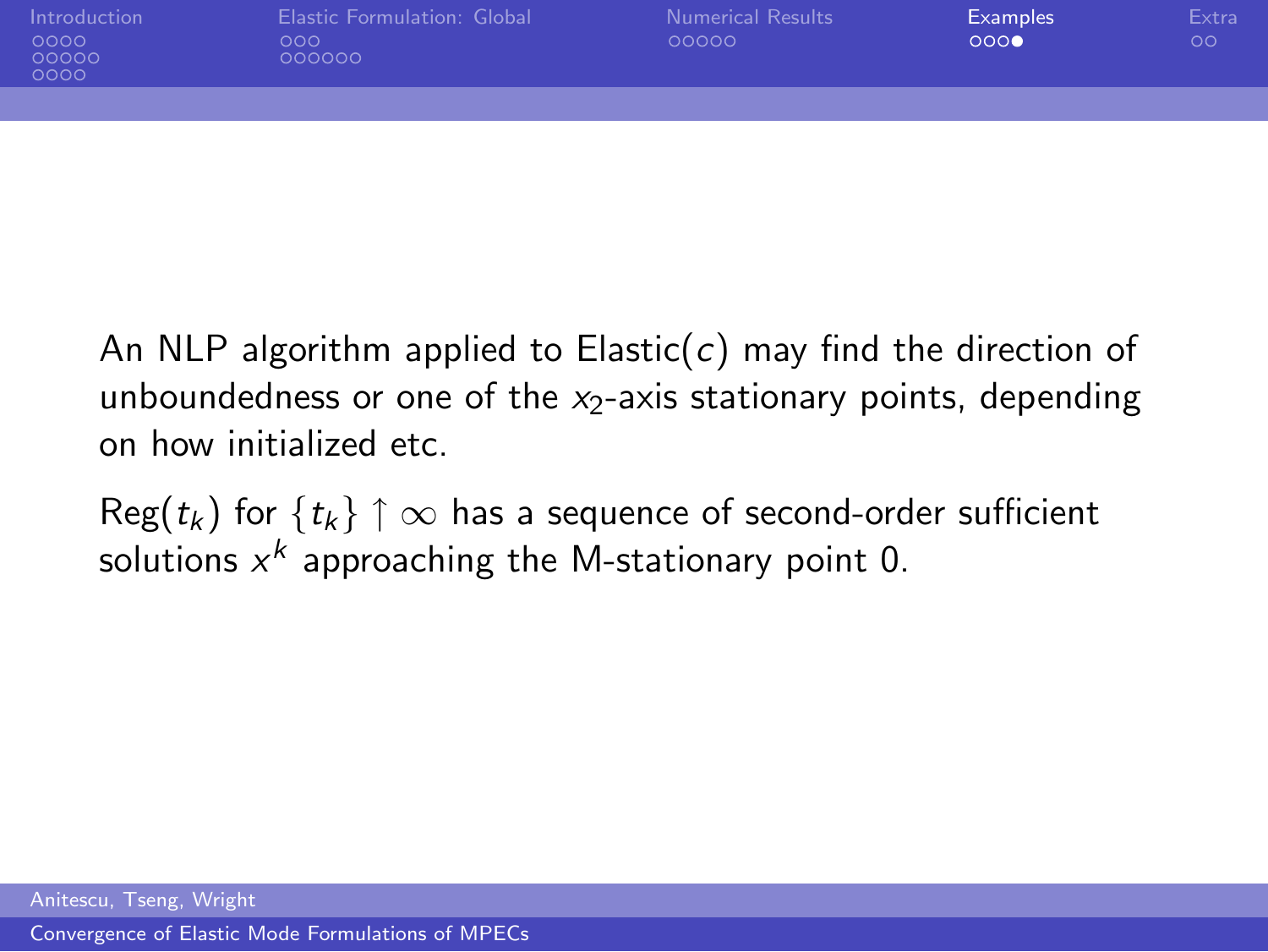| Introduction<br>0000<br>00000<br>0000 | Elastic Formulation: Global<br>000<br>000000 | <b>Numerical Results</b><br>00000 | <b>Examples</b><br>0000 | Extra<br>$\circ$ |
|---------------------------------------|----------------------------------------------|-----------------------------------|-------------------------|------------------|
|                                       |                                              |                                   |                         |                  |

An NLP algorithm applied to Elastic(c) may find the direction of unboundedness or one of the  $x_2$ -axis stationary points, depending on how initialized etc.

 $\text{Reg}(t_k)$  for  $\{t_k\} \uparrow \infty$  has a sequence of second-order sufficient solutions  $x^k$  approaching the M-stationary point 0.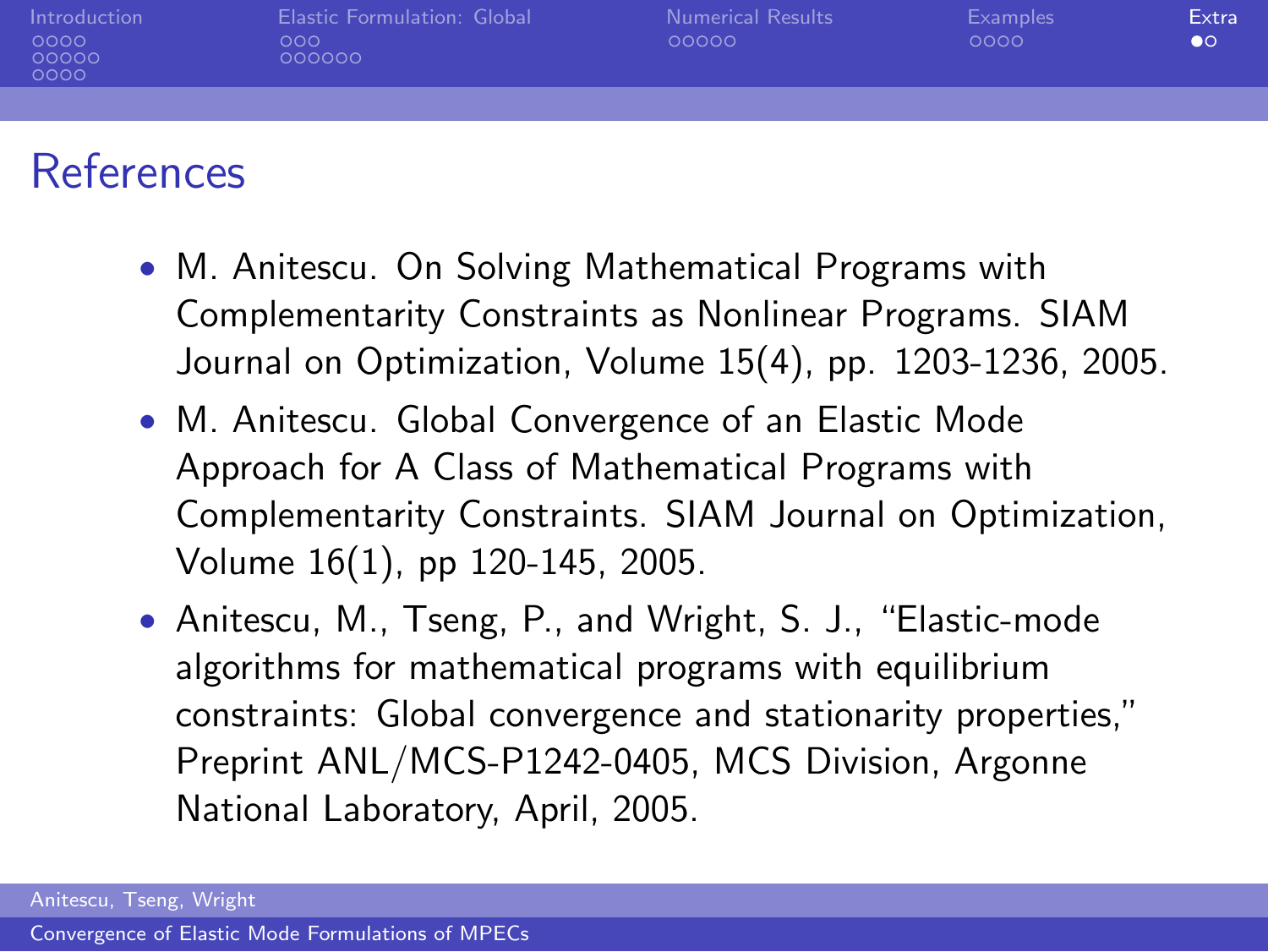| Introduction<br>0000<br>00000<br>0000 | Elastic Formulation: Global<br>000<br>000000 | Numerical Results<br>00000 | <b>Examples</b><br>0000 | Extra<br>$\bullet$ |
|---------------------------------------|----------------------------------------------|----------------------------|-------------------------|--------------------|
|                                       |                                              |                            |                         |                    |
|                                       |                                              |                            |                         |                    |

### References

- M. Anitescu. On Solving Mathematical Programs with Complementarity Constraints as Nonlinear Programs. SIAM Journal on Optimization, Volume 15(4), pp. 1203-1236, 2005.
- M. Anitescu. Global Convergence of an Elastic Mode Approach for A Class of Mathematical Programs with Complementarity Constraints. SIAM Journal on Optimization, Volume 16(1), pp 120-145, 2005.
- <span id="page-32-0"></span>• Anitescu, M., Tseng, P., and Wright, S. J., "Elastic-mode algorithms for mathematical programs with equilibrium constraints: Global convergence and stationarity properties," Preprint ANL/MCS-P1242-0405, MCS Division, Argonne National Laboratory, April, 2005.